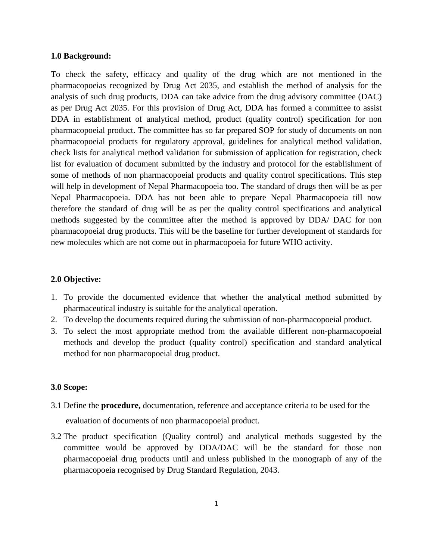### **1.0 Background:**

To check the safety, efficacy and quality of the drug which are not mentioned in the pharmacopoeias recognized by Drug Act 2035, and establish the method of analysis for the analysis of such drug products, DDA can take advice from the drug advisory committee (DAC) as per Drug Act 2035. For this provision of Drug Act, DDA has formed a committee to assist DDA in establishment of analytical method, product (quality control) specification for non pharmacopoeial product. The committee has so far prepared SOP for study of documents on non pharmacopoeial products for regulatory approval, guidelines for analytical method validation, check lists for analytical method validation for submission of application for registration, check list for evaluation of document submitted by the industry and protocol for the establishment of some of methods of non pharmacopoeial products and quality control specifications. This step will help in development of Nepal Pharmacopoeia too. The standard of drugs then will be as per Nepal Pharmacopoeia. DDA has not been able to prepare Nepal Pharmacopoeia till now therefore the standard of drug will be as per the quality control specifications and analytical methods suggested by the committee after the method is approved by DDA/ DAC for non pharmacopoeial drug products. This will be the baseline for further development of standards for new molecules which are not come out in pharmacopoeia for future WHO activity.

### **2.0 Objective:**

- 1. To provide the documented evidence that whether the analytical method submitted by pharmaceutical industry is suitable for the analytical operation.
- 2. To develop the documents required during the submission of non-pharmacopoeial product.
- 3. To select the most appropriate method from the available different non-pharmacopoeial methods and develop the product (quality control) specification and standard analytical method for non pharmacopoeial drug product.

#### **3.0 Scope:**

3.1 Define the **procedure,** documentation, reference and acceptance criteria to be used for the

evaluation of documents of non pharmacopoeial product.

3.2 The product specification (Quality control) and analytical methods suggested by the committee would be approved by DDA/DAC will be the standard for those non pharmacopoeial drug products until and unless published in the monograph of any of the pharmacopoeia recognised by Drug Standard Regulation, 2043.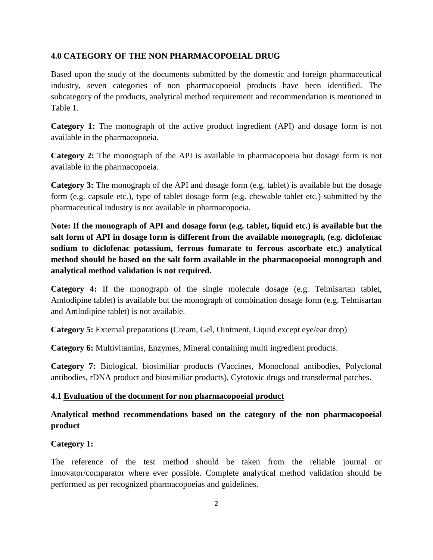### **4.0 CATEGORY OF THE NON PHARMACOPOEIAL DRUG**

Based upon the study of the documents submitted by the domestic and foreign pharmaceutical industry, seven categories of non pharmacopoeial products have been identified. The subcategory of the products, analytical method requirement and recommendation is mentioned in Table 1.

**Category 1:** The monograph of the active product ingredient (API) and dosage form is not available in the pharmacopoeia.

**Category 2:** The monograph of the API is available in pharmacopoeia but dosage form is not available in the pharmacopoeia.

**Category 3:** The monograph of the API and dosage form (e.g. tablet) is available but the dosage form (e.g. capsule etc.), type of tablet dosage form (e.g. chewable tablet etc.) submitted by the pharmaceutical industry is not available in pharmacopoeia.

**Note: If the monograph of API and dosage form (e.g. tablet, liquid etc.) is available but the salt form of API in dosage form is different from the available monograph, (e.g. diclofenac sodium to diclofenac potassium, ferrous fumarate to ferrous ascorbate etc.) analytical method should be based on the salt form available in the pharmacopoeial monograph and analytical method validation is not required.**

**Category 4:** If the monograph of the single molecule dosage (e.g. Telmisartan tablet, Amlodipine tablet) is available but the monograph of combination dosage form (e.g. Telmisartan and Amlodipine tablet) is not available.

**Category 5:** External preparations (Cream, Gel, Ointment, Liquid except eye/ear drop)

**Category 6:** Multivitamins, Enzymes, Mineral containing multi ingredient products.

**Category 7:** Biological, biosimiliar products (Vaccines, Monoclonal antibodies, Polyclonal antibodies, rDNA product and biosimiliar products), Cytotoxic drugs and transdermal patches.

### **4.1 Evaluation of the document for non pharmacopoeial product**

# **Analytical method recommendations based on the category of the non pharmacopoeial product**

### **Category 1:**

The reference of the test method should be taken from the reliable journal or innovator/comparator where ever possible. Complete analytical method validation should be performed as per recognized pharmacopoeias and guidelines.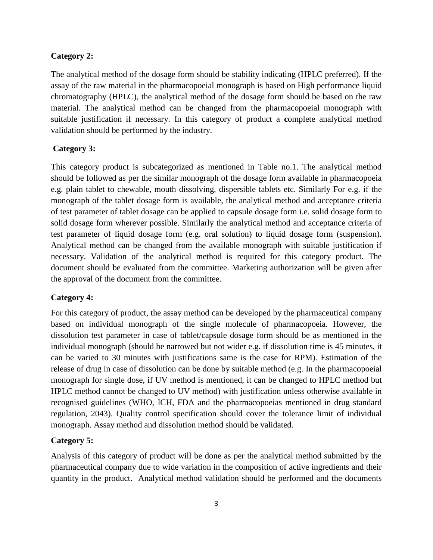### **Category 2:**

The analytical method of the dosage form should be stability indicating (HPLC preferred). If the assay of the raw material in the pharmacopoeial monograph is based on High performance liquid chromatography (HPLC), the analytical method of the dosage form should be based on the raw material. The analytical method can be changed from the pharmacopoeial monograph with suitable justification if necessary. In this category of product a **c**omplete analytical method validation should be performed by the industry.

### **Category 3:**

This category product is subcategorized as mentioned in Table no.1. The analytical method should be followed as per the similar monograph of the dosage form available in pharmacopoeia e.g. plain tablet to chewable, mouth dissolving, dispersible tablets etc. Similarly For e.g. if the monograph of the tablet dosage form is available, the analytical method and acceptance criteria of test parameter of tablet dosage can be applied to capsule dosage form i.e. solid dosage form to solid dosage form wherever possible. Similarly the analytical method and acceptance criteria of test parameter of liquid dosage form (e.g. oral solution) to liquid dosage form (suspension). Analytical method can be changed from the available monograph with suitable justification if necessary. Validation of the analytical method is required for this category product. The document should be evaluated from the committee. Marketing authorization will be given after the approval of the document from the committee.

### **Category 4:**

For this category of product, the assay method can be developed by the pharmaceutical company based on individual monograph of the single molecule of pharmacopoeia. However, the dissolution test parameter in case of tablet/capsule dosage form should be as mentioned in the individual monograph (should be narrowed but not wider e.g. if dissolution time is 45 minutes, it can be varied to 30 minutes with justifications same is the case for RPM). Estimation of the release of drug in case of dissolution can be done by suitable method (e.g. In the pharmacopoeial monograph for single dose, if UV method is mentioned, it can be changed to HPLC method but HPLC method cannot be changed to UV method) with justification unless otherwise available in recognised guidelines (WHO, ICH, FDA and the pharmacopoeias mentioned in drug standard regulation, 2043). Quality control specification should cover the tolerance limit of individual monograph. Assay method and dissolution method should be validated.

### **Category 5:**

Analysis of this category of product will be done as per the analytical method submitted by the pharmaceutical company due to wide variation in the composition of active ingredients and their quantity in the product. Analytical method validation should be performed and the documents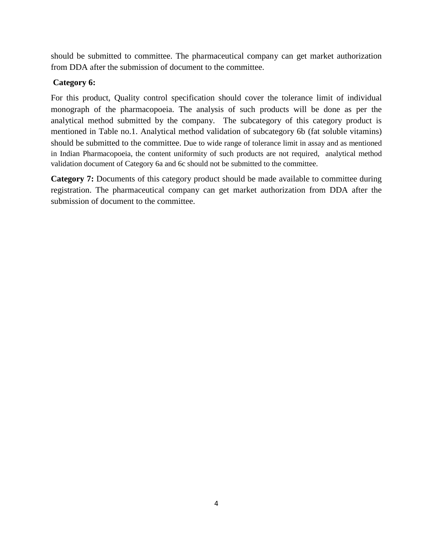should be submitted to committee. The pharmaceutical company can get market authorization from DDA after the submission of document to the committee.

# **Category 6:**

For this product, Quality control specification should cover the tolerance limit of individual monograph of the pharmacopoeia. The analysis of such products will be done as per the analytical method submitted by the company. The subcategory of this category product is mentioned in Table no.1. Analytical method validation of subcategory 6b (fat soluble vitamins) should be submitted to the committee. Due to wide range of tolerance limit in assay and as mentioned in Indian Pharmacopoeia, the content uniformity of such products are not required, analytical method validation document of Category 6a and 6c should not be submitted to the committee.

**Category 7:** Documents of this category product should be made available to committee during registration. The pharmaceutical company can get market authorization from DDA after the submission of document to the committee.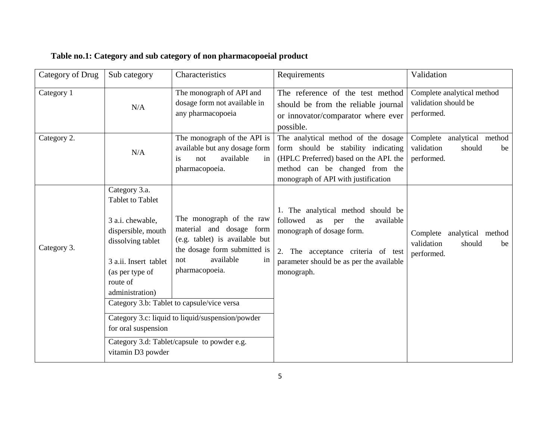| Category of Drug | Sub category                                                                                                                                                                                                                   | Characteristics                                                                                                                                                                                                                                                                                                     | Requirements                                                                                                                                                                                                 | Validation                                                                |
|------------------|--------------------------------------------------------------------------------------------------------------------------------------------------------------------------------------------------------------------------------|---------------------------------------------------------------------------------------------------------------------------------------------------------------------------------------------------------------------------------------------------------------------------------------------------------------------|--------------------------------------------------------------------------------------------------------------------------------------------------------------------------------------------------------------|---------------------------------------------------------------------------|
| Category 1       | N/A                                                                                                                                                                                                                            | The monograph of API and<br>dosage form not available in<br>any pharmacopoeia                                                                                                                                                                                                                                       | The reference of the test method<br>should be from the reliable journal<br>or innovator/comparator where ever<br>possible.                                                                                   | Complete analytical method<br>validation should be<br>performed.          |
| Category 2.      | N/A                                                                                                                                                                                                                            | The monograph of the API is<br>available but any dosage form<br>available<br>not<br>in<br><i>is</i><br>pharmacopoeia.                                                                                                                                                                                               | The analytical method of the dosage<br>form should be stability indicating<br>(HPLC Preferred) based on the API. the<br>method can be changed from the<br>monograph of API with justification                | Complete<br>analytical method<br>validation<br>should<br>be<br>performed. |
| Category 3.      | Category 3.a.<br><b>Tablet to Tablet</b><br>3 a.i. chewable,<br>dispersible, mouth<br>dissolving tablet<br>3 a.ii. Insert tablet<br>(as per type of<br>route of<br>administration)<br>for oral suspension<br>vitamin D3 powder | The monograph of the raw<br>material and dosage form<br>(e.g. tablet) is available but<br>the dosage form submitted is<br>available<br>not<br>in<br>pharmacopoeia.<br>Category 3.b: Tablet to capsule/vice versa<br>Category 3.c: liquid to liquid/suspension/powder<br>Category 3.d: Tablet/capsule to powder e.g. | 1. The analytical method should be<br>followed<br>available<br>the<br>as<br>per<br>monograph of dosage form.<br>2. The acceptance criteria of test<br>parameter should be as per the available<br>monograph. | Complete analytical method<br>validation<br>should<br>be<br>performed.    |

# **Table no.1: Category and sub category of non pharmacopoeial product**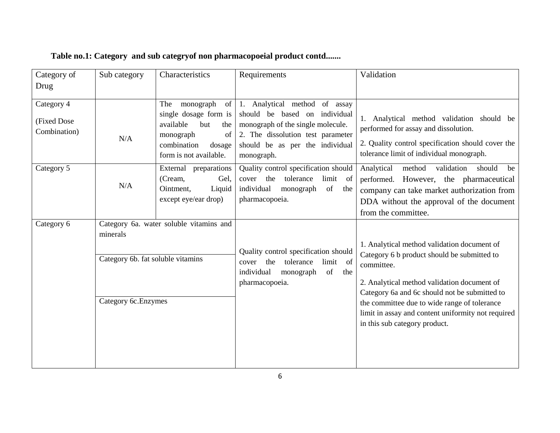| Category of                                | Sub category                                                          | Characteristics                                                                                                                                  | Requirements                                                                                                                                                                              | Validation                                                                                                                                                                                                                                                                                                                                      |
|--------------------------------------------|-----------------------------------------------------------------------|--------------------------------------------------------------------------------------------------------------------------------------------------|-------------------------------------------------------------------------------------------------------------------------------------------------------------------------------------------|-------------------------------------------------------------------------------------------------------------------------------------------------------------------------------------------------------------------------------------------------------------------------------------------------------------------------------------------------|
| Drug                                       |                                                                       |                                                                                                                                                  |                                                                                                                                                                                           |                                                                                                                                                                                                                                                                                                                                                 |
| Category 4<br>(Fixed Dose)<br>Combination) | N/A                                                                   | monograph<br>of<br>The<br>single dosage form is<br>available<br>but<br>the<br>monograph<br>of<br>combination<br>dosage<br>form is not available. | 1. Analytical method of assay<br>should be based on individual<br>monograph of the single molecule.<br>2. The dissolution test parameter<br>should be as per the individual<br>monograph. | 1. Analytical method validation should be<br>performed for assay and dissolution.<br>2. Quality control specification should cover the<br>tolerance limit of individual monograph.                                                                                                                                                              |
| Category 5                                 | N/A                                                                   | External preparations<br>(Cream,<br>Gel.<br>Liquid<br>Ointment,<br>except eye/ear drop)                                                          | Quality control specification should<br>cover the tolerance<br>limit of<br>individual<br>monograph<br>of the<br>pharmacopoeia.                                                            | validation<br>Analytical<br>method<br>should<br>be<br>performed. However, the pharmaceutical<br>company can take market authorization from<br>DDA without the approval of the document<br>from the committee.                                                                                                                                   |
| Category 6                                 | minerals<br>Category 6b. fat soluble vitamins<br>Category 6c. Enzymes | Category 6a. water soluble vitamins and                                                                                                          | Quality control specification should<br>tolerance<br>limit of<br>the<br>cover<br>individual<br>monograph<br>of<br>the<br>pharmacopoeia.                                                   | 1. Analytical method validation document of<br>Category 6 b product should be submitted to<br>committee.<br>2. Analytical method validation document of<br>Category 6a and 6c should not be submitted to<br>the committee due to wide range of tolerance<br>limit in assay and content uniformity not required<br>in this sub category product. |

# **Table no.1: Category and sub categryof non pharmacopoeial product contd.......**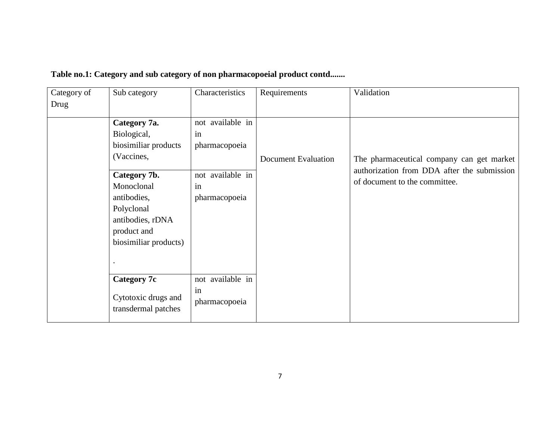| Category of | Sub category                                                                                                                                                                             | Characteristics                                                                    | Requirements        | Validation                                                                                                                |
|-------------|------------------------------------------------------------------------------------------------------------------------------------------------------------------------------------------|------------------------------------------------------------------------------------|---------------------|---------------------------------------------------------------------------------------------------------------------------|
| Drug        |                                                                                                                                                                                          |                                                                                    |                     |                                                                                                                           |
|             | Category 7a.<br>Biological,<br>biosimiliar products<br>(Vaccines,<br>Category 7b.<br>Monoclonal<br>antibodies,<br>Polyclonal<br>antibodies, rDNA<br>product and<br>biosimiliar products) | not available in<br>in<br>pharmacopoeia<br>not available in<br>in<br>pharmacopoeia | Document Evaluation | The pharmaceutical company can get market<br>authorization from DDA after the submission<br>of document to the committee. |
|             | <b>Category 7c</b><br>Cytotoxic drugs and<br>transdermal patches                                                                                                                         | not available in<br>in<br>pharmacopoeia                                            |                     |                                                                                                                           |

# **Table no.1: Category and sub category of non pharmacopoeial product contd.......**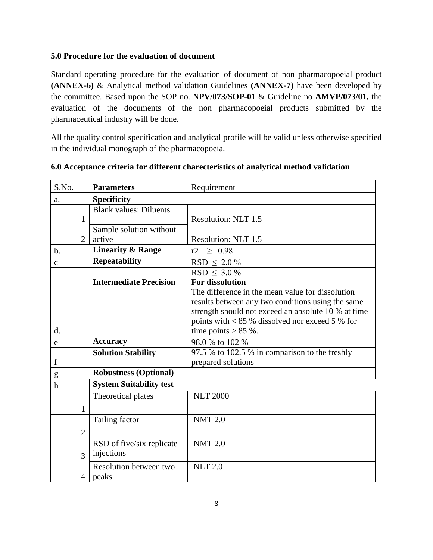# **5.0 Procedure for the evaluation of document**

Standard operating procedure for the evaluation of document of non pharmacopoeial product **(ANNEX-6)** & Analytical method validation Guidelines **(ANNEX-7)** have been developed by the committee. Based upon the SOP no. **NPV/073/SOP-01** & Guideline no **AMVP/073/01,** the evaluation of the documents of the non pharmacopoeial products submitted by the pharmaceutical industry will be done.

All the quality control specification and analytical profile will be valid unless otherwise specified in the individual monograph of the pharmacopoeia.

| S.No.          | <b>Parameters</b>               | Requirement                                         |
|----------------|---------------------------------|-----------------------------------------------------|
| a.             | Specificity                     |                                                     |
|                | <b>Blank values: Diluents</b>   |                                                     |
| $\mathbf{1}$   |                                 | Resolution: NLT 1.5                                 |
|                | Sample solution without         |                                                     |
| $\overline{2}$ | active                          | Resolution: NLT 1.5                                 |
| $b$ .          | <b>Linearity &amp; Range</b>    | r2<br>$\geq 0.98$                                   |
| $\mathbf c$    | <b>Repeatability</b>            | $RSD \leq 2.0\%$                                    |
|                |                                 | $RSD \leq 3.0\%$                                    |
|                | <b>Intermediate Precision</b>   | <b>For dissolution</b>                              |
|                |                                 | The difference in the mean value for dissolution    |
|                |                                 | results between any two conditions using the same   |
|                |                                 | strength should not exceed an absolute 10 % at time |
|                |                                 | points with $< 85$ % dissolved nor exceed 5 % for   |
| d.             |                                 | time points $> 85$ %.                               |
| e              | <b>Accuracy</b>                 | 98.0 % to 102 %                                     |
|                | <b>Solution Stability</b>       | 97.5 % to 102.5 % in comparison to the freshly      |
| f              |                                 | prepared solutions                                  |
| g              | <b>Robustness (Optional)</b>    |                                                     |
| h              | <b>System Suitability test</b>  |                                                     |
|                | Theoretical plates              | <b>NLT 2000</b>                                     |
| $\mathbf{1}$   |                                 |                                                     |
|                | Tailing factor                  | <b>NMT 2.0</b>                                      |
| $\overline{2}$ |                                 |                                                     |
|                | RSD of five/six replicate       | <b>NMT 2.0</b>                                      |
| 3              | injections                      |                                                     |
| 4              | Resolution between two<br>peaks | <b>NLT 2.0</b>                                      |

### **6.0 Acceptance criteria for different charecteristics of analytical method validation**.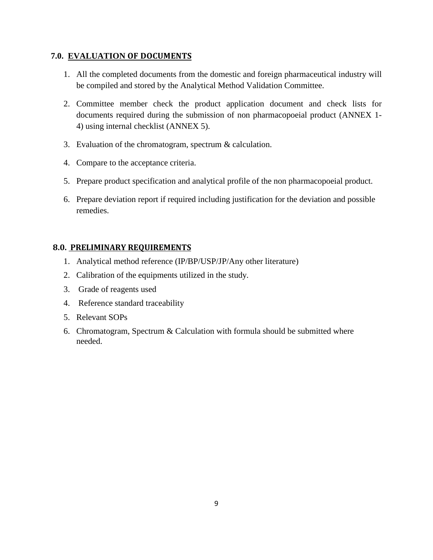# **7.0. EVALUATION OF DOCUMENTS**

- 1. All the completed documents from the domestic and foreign pharmaceutical industry will be compiled and stored by the Analytical Method Validation Committee.
- 2. Committee member check the product application document and check lists for documents required during the submission of non pharmacopoeial product (ANNEX 1- 4) using internal checklist (ANNEX 5).
- 3. Evaluation of the chromatogram, spectrum & calculation.
- 4. Compare to the acceptance criteria.
- 5. Prepare product specification and analytical profile of the non pharmacopoeial product.
- 6. Prepare deviation report if required including justification for the deviation and possible remedies.

# **8.0. PRELIMINARY REQUIREMENTS**

- 1. Analytical method reference (IP/BP/USP/JP/Any other literature)
- 2. Calibration of the equipments utilized in the study.
- 3. Grade of reagents used
- 4. Reference standard traceability
- 5. Relevant SOPs
- 6. Chromatogram, Spectrum & Calculation with formula should be submitted where needed.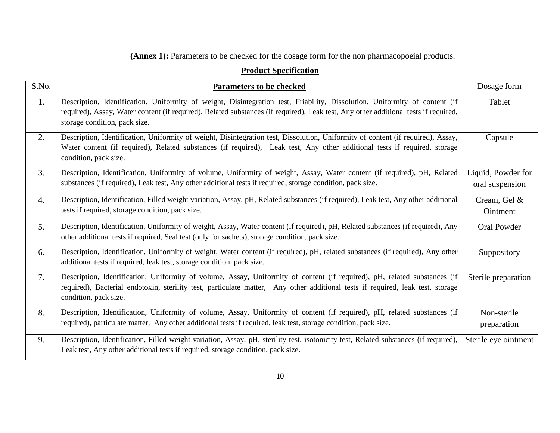# **(Annex 1):** Parameters to be checked for the dosage form for the non pharmacopoeial products.

# **Product Specification**

| S.No. | <b>Parameters to be checked</b>                                                                                                                                                                                                                                                                    | Dosage form                           |
|-------|----------------------------------------------------------------------------------------------------------------------------------------------------------------------------------------------------------------------------------------------------------------------------------------------------|---------------------------------------|
| 1.    | Description, Identification, Uniformity of weight, Disintegration test, Friability, Dissolution, Uniformity of content (if<br>required), Assay, Water content (if required), Related substances (if required), Leak test, Any other additional tests if required,<br>storage condition, pack size. | Tablet                                |
| 2.    | Description, Identification, Uniformity of weight, Disintegration test, Dissolution, Uniformity of content (if required), Assay,<br>Water content (if required), Related substances (if required), Leak test, Any other additional tests if required, storage<br>condition, pack size.             | Capsule                               |
| 3.    | Description, Identification, Uniformity of volume, Uniformity of weight, Assay, Water content (if required), pH, Related<br>substances (if required), Leak test, Any other additional tests if required, storage condition, pack size.                                                             | Liquid, Powder for<br>oral suspension |
| 4.    | Description, Identification, Filled weight variation, Assay, pH, Related substances (if required), Leak test, Any other additional<br>tests if required, storage condition, pack size.                                                                                                             | Cream, Gel &<br>Ointment              |
| 5.    | Description, Identification, Uniformity of weight, Assay, Water content (if required), pH, Related substances (if required), Any<br>other additional tests if required, Seal test (only for sachets), storage condition, pack size.                                                                | <b>Oral Powder</b>                    |
| 6.    | Description, Identification, Uniformity of weight, Water content (if required), pH, related substances (if required), Any other<br>additional tests if required, leak test, storage condition, pack size.                                                                                          | Suppository                           |
| 7.    | Description, Identification, Uniformity of volume, Assay, Uniformity of content (if required), pH, related substances (if<br>required), Bacterial endotoxin, sterility test, particulate matter, Any other additional tests if required, leak test, storage<br>condition, pack size.               | Sterile preparation                   |
| 8.    | Description, Identification, Uniformity of volume, Assay, Uniformity of content (if required), pH, related substances (if<br>required), particulate matter, Any other additional tests if required, leak test, storage condition, pack size.                                                       | Non-sterile<br>preparation            |
| 9.    | Description, Identification, Filled weight variation, Assay, pH, sterility test, isotonicity test, Related substances (if required),<br>Leak test, Any other additional tests if required, storage condition, pack size.                                                                           | Sterile eye ointment                  |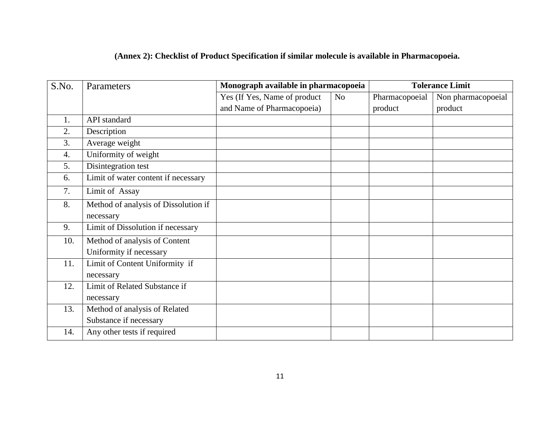|  |  |  |  |  |  | (Annex 2): Checklist of Product Specification if similar molecule is available in Pharmacopoeia. |  |
|--|--|--|--|--|--|--------------------------------------------------------------------------------------------------|--|
|  |  |  |  |  |  |                                                                                                  |  |

| S.No. | Parameters                           | Monograph available in pharmacopoeia |    | <b>Tolerance Limit</b> |                    |  |  |
|-------|--------------------------------------|--------------------------------------|----|------------------------|--------------------|--|--|
|       |                                      | Yes (If Yes, Name of product         | No | Pharmacopoeial         | Non pharmacopoeial |  |  |
|       |                                      | and Name of Pharmacopoeia)           |    | product                | product            |  |  |
| 1.    | API standard                         |                                      |    |                        |                    |  |  |
| 2.    | Description                          |                                      |    |                        |                    |  |  |
| 3.    | Average weight                       |                                      |    |                        |                    |  |  |
| 4.    | Uniformity of weight                 |                                      |    |                        |                    |  |  |
| 5.    | Disintegration test                  |                                      |    |                        |                    |  |  |
| 6.    | Limit of water content if necessary  |                                      |    |                        |                    |  |  |
| 7.    | Limit of Assay                       |                                      |    |                        |                    |  |  |
| 8.    | Method of analysis of Dissolution if |                                      |    |                        |                    |  |  |
|       | necessary                            |                                      |    |                        |                    |  |  |
| 9.    | Limit of Dissolution if necessary    |                                      |    |                        |                    |  |  |
| 10.   | Method of analysis of Content        |                                      |    |                        |                    |  |  |
|       | Uniformity if necessary              |                                      |    |                        |                    |  |  |
| 11.   | Limit of Content Uniformity if       |                                      |    |                        |                    |  |  |
|       | necessary                            |                                      |    |                        |                    |  |  |
| 12.   | Limit of Related Substance if        |                                      |    |                        |                    |  |  |
|       | necessary                            |                                      |    |                        |                    |  |  |
| 13.   | Method of analysis of Related        |                                      |    |                        |                    |  |  |
|       | Substance if necessary               |                                      |    |                        |                    |  |  |
| 14.   | Any other tests if required          |                                      |    |                        |                    |  |  |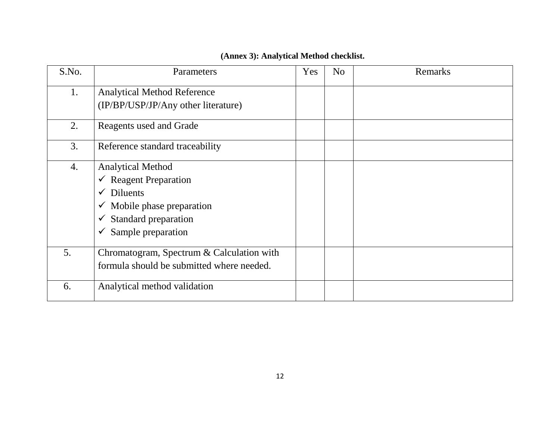|  | (Annex 3): Analytical Method checklist. |  |  |
|--|-----------------------------------------|--|--|
|--|-----------------------------------------|--|--|

| S.No. | Parameters                                | Yes | N <sub>o</sub> | Remarks |
|-------|-------------------------------------------|-----|----------------|---------|
| 1.    | <b>Analytical Method Reference</b>        |     |                |         |
|       | (IP/BP/USP/JP/Any other literature)       |     |                |         |
| 2.    | Reagents used and Grade                   |     |                |         |
| 3.    | Reference standard traceability           |     |                |         |
| 4.    | <b>Analytical Method</b>                  |     |                |         |
|       | $\checkmark$ Reagent Preparation          |     |                |         |
|       | $\checkmark$ Diluents                     |     |                |         |
|       | $\checkmark$ Mobile phase preparation     |     |                |         |
|       | Standard preparation                      |     |                |         |
|       | Sample preparation<br>$\checkmark$        |     |                |         |
| 5.    | Chromatogram, Spectrum & Calculation with |     |                |         |
|       | formula should be submitted where needed. |     |                |         |
| 6.    | Analytical method validation              |     |                |         |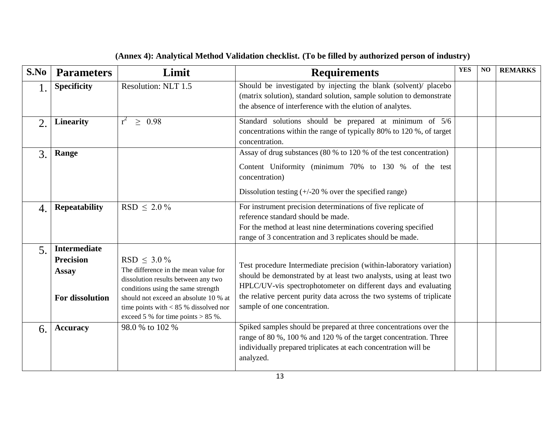| S.No             | <b>Parameters</b>                                                          | Limit                                                                                                                                                                                                                                                             | <b>Requirements</b>                                                                                                                                                                                                                                                                                                   | <b>YES</b> | NO | <b>REMARKS</b> |
|------------------|----------------------------------------------------------------------------|-------------------------------------------------------------------------------------------------------------------------------------------------------------------------------------------------------------------------------------------------------------------|-----------------------------------------------------------------------------------------------------------------------------------------------------------------------------------------------------------------------------------------------------------------------------------------------------------------------|------------|----|----------------|
| 1.               | <b>Specificity</b>                                                         | Resolution: NLT 1.5                                                                                                                                                                                                                                               | Should be investigated by injecting the blank (solvent)/ placebo<br>(matrix solution), standard solution, sample solution to demonstrate<br>the absence of interference with the elution of analytes.                                                                                                                 |            |    |                |
| 2.               | <b>Linearity</b>                                                           | $r^2$<br>$\geq 0.98$                                                                                                                                                                                                                                              | Standard solutions should be prepared at minimum of 5/6<br>concentrations within the range of typically 80% to 120 %, of target<br>concentration.                                                                                                                                                                     |            |    |                |
| 3.               | Range                                                                      |                                                                                                                                                                                                                                                                   | Assay of drug substances (80 % to 120 % of the test concentration)<br>Content Uniformity (minimum 70% to 130 % of the test<br>concentration)<br>Dissolution testing $(+/-20\%$ over the specified range)                                                                                                              |            |    |                |
| $\overline{4}$ . | <b>Repeatability</b>                                                       | $RSD \leq 2.0\%$                                                                                                                                                                                                                                                  | For instrument precision determinations of five replicate of<br>reference standard should be made.<br>For the method at least nine determinations covering specified<br>range of 3 concentration and 3 replicates should be made.                                                                                     |            |    |                |
| $\overline{5}$ . | <b>Intermediate</b><br><b>Precision</b><br><b>Assay</b><br>For dissolution | RSD $\leq 3.0\%$<br>The difference in the mean value for<br>dissolution results between any two<br>conditions using the same strength<br>should not exceed an absolute 10 % at<br>time points with $< 85$ % dissolved nor<br>exceed 5 % for time points $> 85$ %. | Test procedure Intermediate precision (within-laboratory variation)<br>should be demonstrated by at least two analysts, using at least two<br>HPLC/UV-vis spectrophotometer on different days and evaluating<br>the relative percent purity data across the two systems of triplicate<br>sample of one concentration. |            |    |                |
| 6.               | <b>Accuracy</b>                                                            | 98.0 % to 102 %                                                                                                                                                                                                                                                   | Spiked samples should be prepared at three concentrations over the<br>range of 80 %, 100 % and 120 % of the target concentration. Three<br>individually prepared triplicates at each concentration will be<br>analyzed.                                                                                               |            |    |                |

# **(Annex 4): Analytical Method Validation checklist. (To be filled by authorized person of industry)**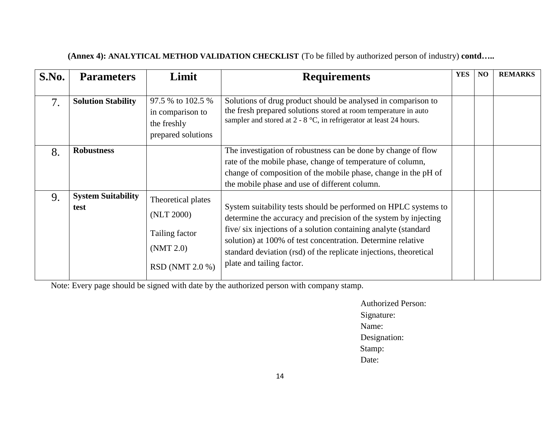| S.No. | <b>Parameters</b>                 | Limit                                                                              | <b>Requirements</b>                                                                                                                                                                                                                                                                                                                                                   | <b>YES</b> | N <sub>O</sub> | <b>REMARKS</b> |
|-------|-----------------------------------|------------------------------------------------------------------------------------|-----------------------------------------------------------------------------------------------------------------------------------------------------------------------------------------------------------------------------------------------------------------------------------------------------------------------------------------------------------------------|------------|----------------|----------------|
| 7.    | <b>Solution Stability</b>         | 97.5 % to 102.5 %<br>in comparison to<br>the freshly<br>prepared solutions         | Solutions of drug product should be analysed in comparison to<br>the fresh prepared solutions stored at room temperature in auto<br>sampler and stored at $2 - 8$ °C, in refrigerator at least 24 hours.                                                                                                                                                              |            |                |                |
| 8.    | <b>Robustness</b>                 |                                                                                    | The investigation of robustness can be done by change of flow<br>rate of the mobile phase, change of temperature of column,<br>change of composition of the mobile phase, change in the pH of<br>the mobile phase and use of different column.                                                                                                                        |            |                |                |
| 9.    | <b>System Suitability</b><br>test | Theoretical plates<br>(NLT 2000)<br>Tailing factor<br>(NMT 2.0)<br>RSD (NMT 2.0 %) | System suitability tests should be performed on HPLC systems to<br>determine the accuracy and precision of the system by injecting<br>five/six injections of a solution containing analyte (standard<br>solution) at 100% of test concentration. Determine relative<br>standard deviation (rsd) of the replicate injections, theoretical<br>plate and tailing factor. |            |                |                |

Note: Every page should be signed with date by the authorized person with company stamp.

 Authorized Person: Signature: Name: Designation: Stamp: Date: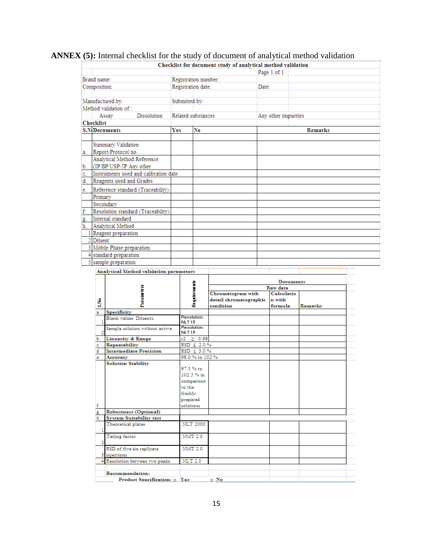# **ANNEX (5):** Internal checklist for the study of document of analytical method validation

|                                             |             |                      |  | Checklist for document study of analytical method validation |                |
|---------------------------------------------|-------------|----------------------|--|--------------------------------------------------------------|----------------|
|                                             |             |                      |  | Page 1 of 1                                                  |                |
| Brand name:                                 |             | Registration number: |  |                                                              |                |
| Composition:                                |             | Registration date:   |  | Date:                                                        |                |
|                                             |             |                      |  |                                                              |                |
| Manufactured by:                            |             | Submitted by:        |  |                                                              |                |
| Method validation of:                       |             |                      |  |                                                              |                |
| Assay                                       | Dissolution | Related substances   |  | Any other impurities                                         |                |
| <b>Checklist</b>                            |             |                      |  |                                                              |                |
| <b>S.N.Documents</b>                        | <b>Yes</b>  | No                   |  |                                                              | <b>Remarks</b> |
|                                             |             |                      |  |                                                              |                |
| Summary Validation                          |             |                      |  |                                                              |                |
| Report/Protocol no.<br>a.                   |             |                      |  |                                                              |                |
| Analytical Method Reference                 |             |                      |  |                                                              |                |
| (IP/BP/USP/JP Any other<br>b.               |             |                      |  |                                                              |                |
| Instruments used and calibration date<br>c. |             |                      |  |                                                              |                |
| đ.<br>Reagents used and Grades              |             |                      |  |                                                              |                |
| Reference standard (Traceability)<br>e.     |             |                      |  |                                                              |                |
| Primary                                     |             |                      |  |                                                              |                |
| Secondary                                   |             |                      |  |                                                              |                |
| f.<br>Resolution standard (Traceability)    |             |                      |  |                                                              |                |
| Internal standard<br>g.                     |             |                      |  |                                                              |                |
| ħ.<br>Analytical Method                     |             |                      |  |                                                              |                |
| 1 Reagent preparation                       |             |                      |  |                                                              |                |
| $2$ Diluent                                 |             |                      |  |                                                              |                |
| 3 Mobile Phase preparation                  |             |                      |  |                                                              |                |
| 4 standard preparation                      |             |                      |  |                                                              |                |
| 5 sample preparation                        |             |                      |  |                                                              |                |

Analytical Method validation parameters

|             |                                                                                                                              |                                                                                                                          | <b>Documents</b>       |            |         |  |
|-------------|------------------------------------------------------------------------------------------------------------------------------|--------------------------------------------------------------------------------------------------------------------------|------------------------|------------|---------|--|
|             |                                                                                                                              |                                                                                                                          | Raw data               |            |         |  |
|             | Parameters                                                                                                                   | Requirements                                                                                                             | Chromatogram with      | Calculatio |         |  |
|             |                                                                                                                              |                                                                                                                          | detail chromatographic | n with     |         |  |
| å           |                                                                                                                              |                                                                                                                          | condition              | formula    | Remarks |  |
| a.          | <b>Specificity</b>                                                                                                           |                                                                                                                          |                        |            |         |  |
|             | <b>Blank</b> values: Diluents                                                                                                | Resolution:<br><b>NLT15</b>                                                                                              |                        |            |         |  |
| 2           | Sample solution without active                                                                                               | <b>Resolution:</b><br><b>NLT15</b>                                                                                       |                        |            |         |  |
| Ъ.          | <b>Linearity &amp; Range</b>                                                                                                 | $r2 \ge 0.98$                                                                                                            |                        |            |         |  |
| e           | Repeatability                                                                                                                | $RSD \leq 2.0\%$                                                                                                         |                        |            |         |  |
| d           | <b>Intermediate Precision</b>                                                                                                | $RSD \leq 3.0\%$                                                                                                         |                        |            |         |  |
| e           | Accuracy                                                                                                                     | 98.0 % to 102 %                                                                                                          |                        |            |         |  |
| f<br>g<br>ħ | <b>Solution Stability</b><br>Robustness (Optional)<br><b>System Suitability test</b><br>Theoretical plates<br>Tailing factor | 97.5 % to<br>102.5 % in<br>comparison<br>to the<br>freshly<br>prepared<br>solutions<br><b>NLT 2000</b><br><b>NMT 2.0</b> |                        |            |         |  |
| 2           |                                                                                                                              |                                                                                                                          |                        |            |         |  |
|             | RSD of five/six replicate                                                                                                    | <b>NMT 2.0</b>                                                                                                           |                        |            |         |  |
|             | 3 injections                                                                                                                 |                                                                                                                          |                        |            |         |  |
|             | Resolution between two peaks                                                                                                 | <b>NLT 2.0</b>                                                                                                           |                        |            |         |  |
|             | Recommendation:                                                                                                              |                                                                                                                          |                        |            |         |  |
|             | Product Specification: D Yes<br>$\square$ No.                                                                                |                                                                                                                          |                        |            |         |  |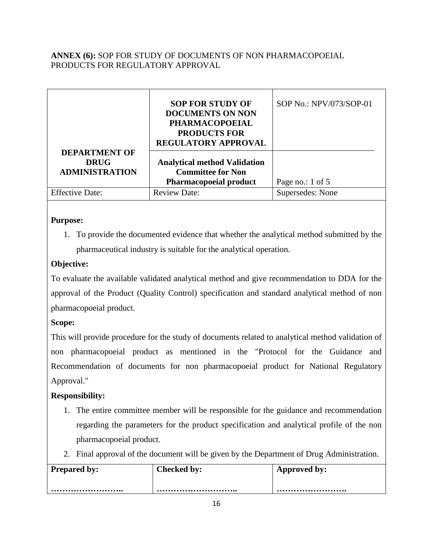# **ANNEX (6):** SOP FOR STUDY OF DOCUMENTS OF NON PHARMACOPOEIAL PRODUCTS FOR REGULATORY APPROVAL

|                                                              | <b>SOP FOR STUDY OF</b><br><b>DOCUMENTS ON NON</b><br><b>PHARMACOPOEIAL</b><br><b>PRODUCTS FOR</b><br><b>REGULATORY APPROVAL</b> | SOP No.: NPV/073/SOP-01 |
|--------------------------------------------------------------|----------------------------------------------------------------------------------------------------------------------------------|-------------------------|
| <b>DEPARTMENT OF</b><br><b>DRUG</b><br><b>ADMINISTRATION</b> | <b>Analytical method Validation</b><br><b>Committee for Non</b><br><b>Pharmacopoeial product</b>                                 | Page no.: 1 of 5        |
| <b>Effective Date:</b>                                       | <b>Review Date:</b>                                                                                                              | Supersedes: None        |

# **Purpose:**

1. To provide the documented evidence that whether the analytical method submitted by the pharmaceutical industry is suitable for the analytical operation.

# **Objective:**

To evaluate the available validated analytical method and give recommendation to DDA for the approval of the Product (Quality Control) specification and standard analytical method of non pharmacopoeial product.

# **Scope:**

This will provide procedure for the study of documents related to analytical method validation of non pharmacopoeial product as mentioned in the "Protocol for the Guidance and Recommendation of documents for non pharmacopoeial product for National Regulatory Approval."

# **Responsibility:**

- 1. The entire committee member will be responsible for the guidance and recommendation regarding the parameters for the product specification and analytical profile of the non pharmacopoeial product.
- 2. Final approval of the document will be given by the Department of Drug Administration.

| <b>Prepared by:</b> | <b>Checked by:</b> | Approved by: |
|---------------------|--------------------|--------------|
|                     |                    |              |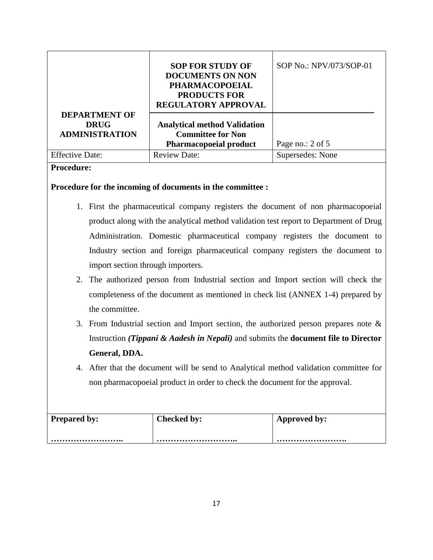|                                                              | <b>SOP FOR STUDY OF</b><br><b>DOCUMENTS ON NON</b><br><b>PHARMACOPOEIAL</b><br><b>PRODUCTS FOR</b><br><b>REGULATORY APPROVAL</b> | SOP No.: NPV/073/SOP-01 |
|--------------------------------------------------------------|----------------------------------------------------------------------------------------------------------------------------------|-------------------------|
| <b>DEPARTMENT OF</b><br><b>DRUG</b><br><b>ADMINISTRATION</b> | <b>Analytical method Validation</b><br><b>Committee for Non</b><br><b>Pharmacopoeial product</b>                                 | Page no.: 2 of 5        |
| <b>Effective Date:</b>                                       | <b>Review Date:</b>                                                                                                              | Supersedes: None        |

# **Procedure:**

### **Procedure for the incoming of documents in the committee :**

- 1. First the pharmaceutical company registers the document of non pharmacopoeial product along with the analytical method validation test report to Department of Drug Administration. Domestic pharmaceutical company registers the document to Industry section and foreign pharmaceutical company registers the document to import section through importers.
- 2. The authorized person from Industrial section and Import section will check the completeness of the document as mentioned in check list (ANNEX 1-4) prepared by the committee.
- 3. From Industrial section and Import section, the authorized person prepares note & Instruction *(Tippani & Aadesh in Nepali)* and submits the **document file to Director General, DDA.**
- 4. After that the document will be send to Analytical method validation committee for non pharmacopoeial product in order to check the document for the approval.

| <b>Prepared by:</b> | <b>Checked by:</b> | Approved by: |
|---------------------|--------------------|--------------|
|                     |                    |              |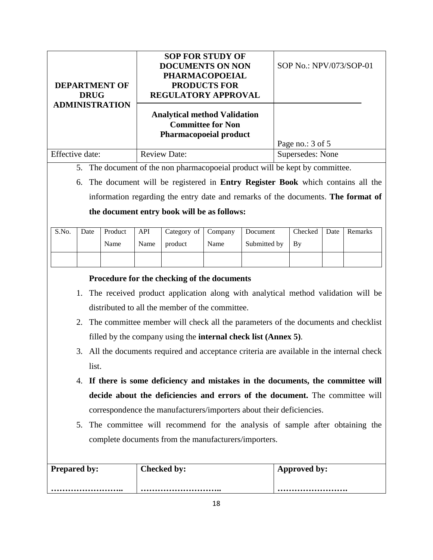|                       | <b>SOP FOR STUDY OF</b>                                                                          |                         |
|-----------------------|--------------------------------------------------------------------------------------------------|-------------------------|
|                       | <b>DOCUMENTS ON NON</b>                                                                          | SOP No.: NPV/073/SOP-01 |
|                       | <b>PHARMACOPOEIAL</b>                                                                            |                         |
| <b>DEPARTMENT OF</b>  | <b>PRODUCTS FOR</b>                                                                              |                         |
| <b>DRUG</b>           | REGULATORY APPROVAL                                                                              |                         |
| <b>ADMINISTRATION</b> | <b>Analytical method Validation</b><br><b>Committee for Non</b><br><b>Pharmacopoeial product</b> | Page no.: 3 of 5        |
| Effective date:       | <b>Review Date:</b>                                                                              | Supersedes: None        |
|                       |                                                                                                  |                         |

5. The document of the non pharmacopoeial product will be kept by committee.

6. The document will be registered in **Entry Register Book** which contains all the information regarding the entry date and remarks of the documents. **The format of the document entry book will be as follows:** 

| S.No. | Date | Product | API  | Category of Company |      | Document     | Checked | Date Remarks |
|-------|------|---------|------|---------------------|------|--------------|---------|--------------|
|       |      | Name    | Name | product             | Name | Submitted by | l By    |              |
|       |      |         |      |                     |      |              |         |              |

# **Procedure for the checking of the documents**

- 1. The received product application along with analytical method validation will be distributed to all the member of the committee.
- 2. The committee member will check all the parameters of the documents and checklist filled by the company using the **internal check list (Annex 5)**.
- 3. All the documents required and acceptance criteria are available in the internal check list.
- 4. **If there is some deficiency and mistakes in the documents, the committee will decide about the deficiencies and errors of the document.** The committee will correspondence the manufacturers/importers about their deficiencies.
- 5. The committee will recommend for the analysis of sample after obtaining the complete documents from the manufacturers/importers.

| <b>Prepared by:</b> | Checked by: | Approved by: |
|---------------------|-------------|--------------|
|                     |             |              |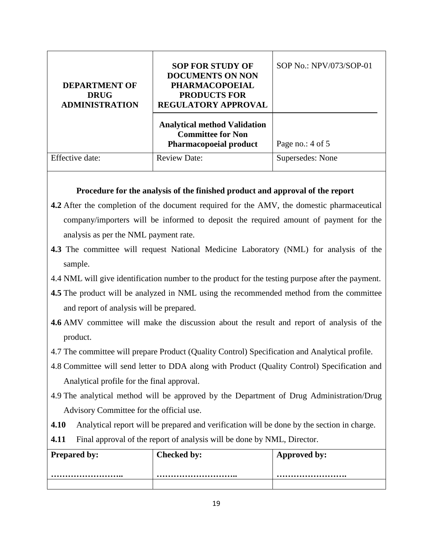| <b>DEPARTMENT OF</b><br><b>DRUG</b><br><b>ADMINISTRATION</b> | <b>SOP FOR STUDY OF</b><br><b>DOCUMENTS ON NON</b><br><b>PHARMACOPOEIAL</b><br><b>PRODUCTS FOR</b><br><b>REGULATORY APPROVAL</b> | SOP No.: NPV/073/SOP-01 |
|--------------------------------------------------------------|----------------------------------------------------------------------------------------------------------------------------------|-------------------------|
|                                                              | <b>Analytical method Validation</b><br><b>Committee for Non</b><br><b>Pharmacopoeial product</b>                                 | Page no.: 4 of 5        |
| Effective date:                                              | <b>Review Date:</b>                                                                                                              | Supersedes: None        |

# **Procedure for the analysis of the finished product and approval of the report**

- **4.2** After the completion of the document required for the AMV, the domestic pharmaceutical company/importers will be informed to deposit the required amount of payment for the analysis as per the NML payment rate.
- **4.3** The committee will request National Medicine Laboratory (NML) for analysis of the sample.
- 4.4 NML will give identification number to the product for the testing purpose after the payment.
- **4.5** The product will be analyzed in NML using the recommended method from the committee and report of analysis will be prepared.
- **4.6** AMV committee will make the discussion about the result and report of analysis of the product.
- 4.7 The committee will prepare Product (Quality Control) Specification and Analytical profile.
- 4.8 Committee will send letter to DDA along with Product (Quality Control) Specification and Analytical profile for the final approval.
- 4.9 The analytical method will be approved by the Department of Drug Administration/Drug Advisory Committee for the official use.
- **4.10** Analytical report will be prepared and verification will be done by the section in charge.
- **4.11** Final approval of the report of analysis will be done by NML, Director.

| <b>Prepared by:</b> | Checked by: | Approved by: |
|---------------------|-------------|--------------|
|                     |             |              |
|                     |             |              |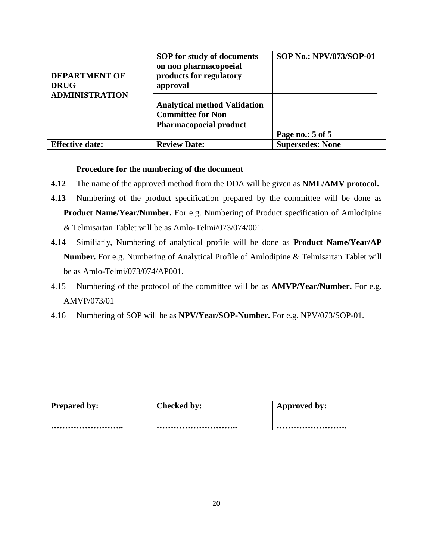| <b>DEPARTMENT OF</b><br><b>DRUG</b> | <b>SOP</b> for study of documents<br>on non pharmacopoeial<br>products for regulatory<br>approval | <b>SOP No.: NPV/073/SOP-01</b> |
|-------------------------------------|---------------------------------------------------------------------------------------------------|--------------------------------|
| <b>ADMINISTRATION</b>               | <b>Analytical method Validation</b><br><b>Committee for Non</b><br><b>Pharmacopoeial product</b>  | Page no.: 5 of 5               |
| <b>Effective date:</b>              | <b>Review Date:</b>                                                                               | <b>Supersedes: None</b>        |

# **Procedure for the numbering of the document**

- **4.12** The name of the approved method from the DDA will be given as **NML/AMV protocol.**
- **4.13** Numbering of the product specification prepared by the committee will be done as **Product Name/Year/Number.** For e.g. Numbering of Product specification of Amlodipine & Telmisartan Tablet will be as Amlo-Telmi/073/074/001.
- **4.14** Similiarly, Numbering of analytical profile will be done as **Product Name/Year/AP Number.** For e.g. Numbering of Analytical Profile of Amlodipine & Telmisartan Tablet will be as Amlo-Telmi/073/074/AP001.
- 4.15 Numbering of the protocol of the committee will be as **AMVP/Year/Number.** For e.g. AMVP/073/01
- 4.16 Numbering of SOP will be as **NPV/Year/SOP-Number.** For e.g. NPV/073/SOP-01.

| <b>Prepared by:</b> | Checked by: | Approved by: |
|---------------------|-------------|--------------|
|                     |             |              |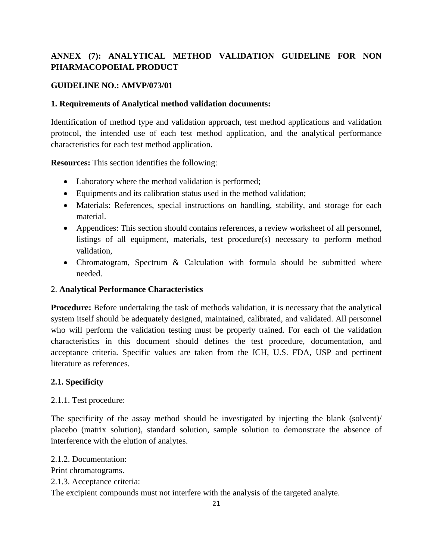# **ANNEX (7): ANALYTICAL METHOD VALIDATION GUIDELINE FOR NON PHARMACOPOEIAL PRODUCT**

# **GUIDELINE NO.: AMVP/073/01**

## **1. Requirements of Analytical method validation documents:**

Identification of method type and validation approach, test method applications and validation protocol, the intended use of each test method application, and the analytical performance characteristics for each test method application.

**Resources:** This section identifies the following:

- Laboratory where the method validation is performed;
- Equipments and its calibration status used in the method validation;
- Materials: References, special instructions on handling, stability, and storage for each material.
- Appendices: This section should contains references, a review worksheet of all personnel, listings of all equipment, materials, test procedure(s) necessary to perform method validation,
- Chromatogram, Spectrum & Calculation with formula should be submitted where needed.

### 2. **Analytical Performance Characteristics**

**Procedure:** Before undertaking the task of methods validation, it is necessary that the analytical system itself should be adequately designed, maintained, calibrated, and validated. All personnel who will perform the validation testing must be properly trained. For each of the validation characteristics in this document should defines the test procedure, documentation, and acceptance criteria. Specific values are taken from the ICH, U.S. FDA, USP and pertinent literature as references.

# **2.1. Specificity**

2.1.1. Test procedure:

The specificity of the assay method should be investigated by injecting the blank (solvent)/ placebo (matrix solution), standard solution, sample solution to demonstrate the absence of interference with the elution of analytes.

2.1.2. Documentation: Print chromatograms. 2.1.3. Acceptance criteria:

The excipient compounds must not interfere with the analysis of the targeted analyte.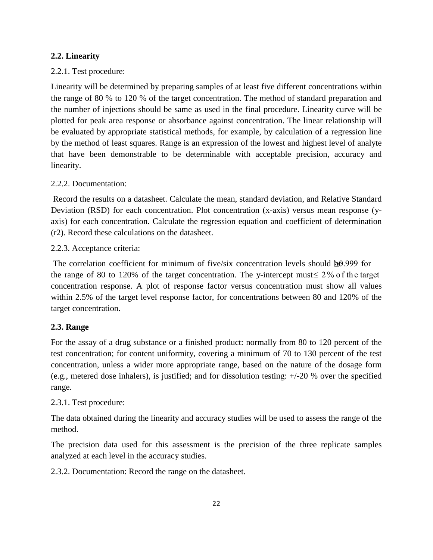## **2.2. Linearity**

## 2.2.1. Test procedure:

Linearity will be determined by preparing samples of at least five different concentrations within the range of 80 % to 120 % of the target concentration. The method of standard preparation and the number of injections should be same as used in the final procedure. Linearity curve will be plotted for peak area response or absorbance against concentration. The linear relationship will be evaluated by appropriate statistical methods, for example, by calculation of a regression line by the method of least squares. Range is an expression of the lowest and highest level of analyte that have been demonstrable to be determinable with acceptable precision, accuracy and linearity.

### 2.2.2. Documentation:

Record the results on a datasheet. Calculate the mean, standard deviation, and Relative Standard Deviation (RSD) for each concentration. Plot concentration (x-axis) versus mean response (yaxis) for each concentration. Calculate the regression equation and coefficient of determination (r2). Record these calculations on the datasheet.

### 2.2.3. Acceptance criteria:

The correlation coefficient for minimum of five/six concentration levels should  $\mathbf{\Phi} 0.999$  for the range of 80 to 120% of the target concentration. The y-intercept must  $\leq 2\%$  of the target concentration response. A plot of response factor versus concentration must show all values within 2.5% of the target level response factor, for concentrations between 80 and 120% of the target concentration.

# **2.3. Range**

For the assay of a drug substance or a finished product: normally from 80 to 120 percent of the test concentration; for content uniformity, covering a minimum of 70 to 130 percent of the test concentration, unless a wider more appropriate range, based on the nature of the dosage form (e.g., metered dose inhalers), is justified; and for dissolution testing: +/-20 % over the specified range.

# 2.3.1. Test procedure:

The data obtained during the linearity and accuracy studies will be used to assess the range of the method.

The precision data used for this assessment is the precision of the three replicate samples analyzed at each level in the accuracy studies.

2.3.2. Documentation: Record the range on the datasheet.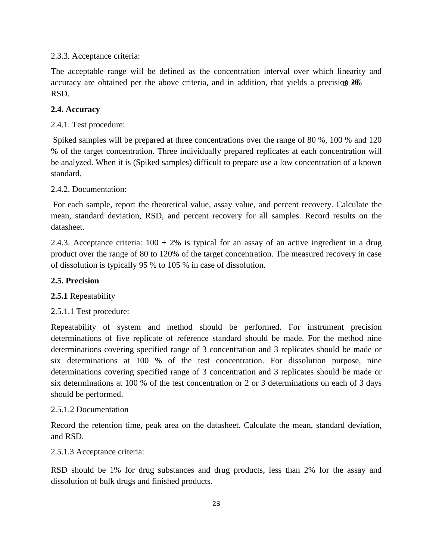### 2.3.3. Acceptance criteria:

The acceptable range will be defined as the concentration interval over which linearity and accuracy are obtained per the above criteria, and in addition, that yields a precision  $3\%$ RSD.

## **2.4. Accuracy**

## 2.4.1. Test procedure:

Spiked samples will be prepared at three concentrations over the range of 80 %, 100 % and 120 % of the target concentration. Three individually prepared replicates at each concentration will be analyzed. When it is (Spiked samples) difficult to prepare use a low concentration of a known standard.

### 2.4.2. Documentation:

For each sample, report the theoretical value, assay value, and percent recovery. Calculate the mean, standard deviation, RSD, and percent recovery for all samples. Record results on the datasheet.

2.4.3. Acceptance criteria:  $100 \pm 2\%$  is typical for an assay of an active ingredient in a drug product over the range of 80 to 120% of the target concentration. The measured recovery in case of dissolution is typically 95 % to 105 % in case of dissolution.

### **2.5. Precision**

# **2.5.1** Repeatability

# 2.5.1.1 Test procedure:

Repeatability of system and method should be performed. For instrument precision determinations of five replicate of reference standard should be made. For the method nine determinations covering specified range of 3 concentration and 3 replicates should be made or six determinations at 100 % of the test concentration. For dissolution purpose, nine determinations covering specified range of 3 concentration and 3 replicates should be made or six determinations at 100 % of the test concentration or 2 or 3 determinations on each of 3 days should be performed.

### 2.5.1.2 Documentation

Record the retention time, peak area on the datasheet. Calculate the mean, standard deviation, and RSD.

### 2.5.1.3 Acceptance criteria:

RSD should be 1% for drug substances and drug products, less than 2% for the assay and dissolution of bulk drugs and finished products.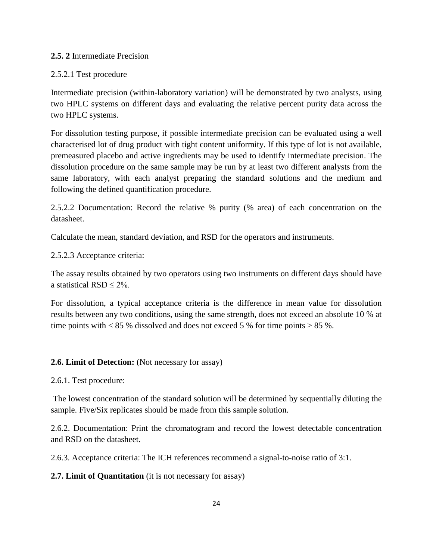### **2.5. 2** Intermediate Precision

### 2.5.2.1 Test procedure

Intermediate precision (within-laboratory variation) will be demonstrated by two analysts, using two HPLC systems on different days and evaluating the relative percent purity data across the two HPLC systems.

For dissolution testing purpose, if possible intermediate precision can be evaluated using a well characterised lot of drug product with tight content uniformity. If this type of lot is not available, premeasured placebo and active ingredients may be used to identify intermediate precision. The dissolution procedure on the same sample may be run by at least two different analysts from the same laboratory, with each analyst preparing the standard solutions and the medium and following the defined quantification procedure.

2.5.2.2 Documentation: Record the relative % purity (% area) of each concentration on the datasheet.

Calculate the mean, standard deviation, and RSD for the operators and instruments.

2.5.2.3 Acceptance criteria:

The assay results obtained by two operators using two instruments on different days should have a statistical RSD ≤ 2%.

For dissolution, a typical acceptance criteria is the difference in mean value for dissolution results between any two conditions, using the same strength, does not exceed an absolute 10 % at time points with  $\lt 85$  % dissolved and does not exceed 5 % for time points  $> 85$  %.

### **2.6. Limit of Detection:** (Not necessary for assay)

2.6.1. Test procedure:

The lowest concentration of the standard solution will be determined by sequentially diluting the sample. Five/Six replicates should be made from this sample solution.

2.6.2. Documentation: Print the chromatogram and record the lowest detectable concentration and RSD on the datasheet.

2.6.3. Acceptance criteria: The ICH references recommend a signal-to-noise ratio of 3:1.

**2.7. Limit of Quantitation** (it is not necessary for assay)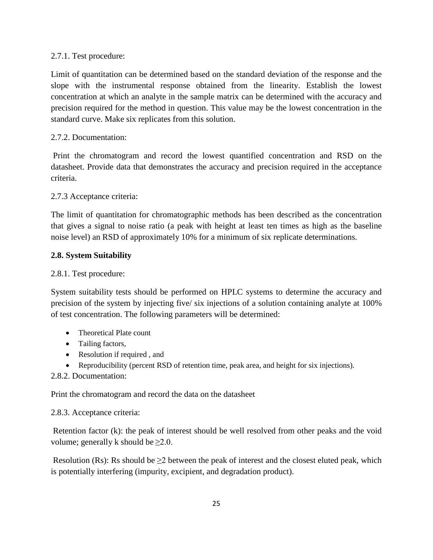## 2.7.1. Test procedure:

Limit of quantitation can be determined based on the standard deviation of the response and the slope with the instrumental response obtained from the linearity. Establish the lowest concentration at which an analyte in the sample matrix can be determined with the accuracy and precision required for the method in question. This value may be the lowest concentration in the standard curve. Make six replicates from this solution.

## 2.7.2. Documentation:

Print the chromatogram and record the lowest quantified concentration and RSD on the datasheet. Provide data that demonstrates the accuracy and precision required in the acceptance criteria.

# 2.7.3 Acceptance criteria:

The limit of quantitation for chromatographic methods has been described as the concentration that gives a signal to noise ratio (a peak with height at least ten times as high as the baseline noise level) an RSD of approximately 10% for a minimum of six replicate determinations.

# **2.8. System Suitability**

# 2.8.1. Test procedure:

System suitability tests should be performed on HPLC systems to determine the accuracy and precision of the system by injecting five/ six injections of a solution containing analyte at 100% of test concentration. The following parameters will be determined:

- Theoretical Plate count
- Tailing factors,
- Resolution if required , and
- Reproducibility (percent RSD of retention time, peak area, and height for six injections).
- 2.8.2. Documentation:

Print the chromatogram and record the data on the datasheet

### 2.8.3. Acceptance criteria:

Retention factor (k): the peak of interest should be well resolved from other peaks and the void volume; generally k should be  $\geq 2.0$ .

Resolution (Rs): Rs should be  $\geq 2$  between the peak of interest and the closest eluted peak, which is potentially interfering (impurity, excipient, and degradation product).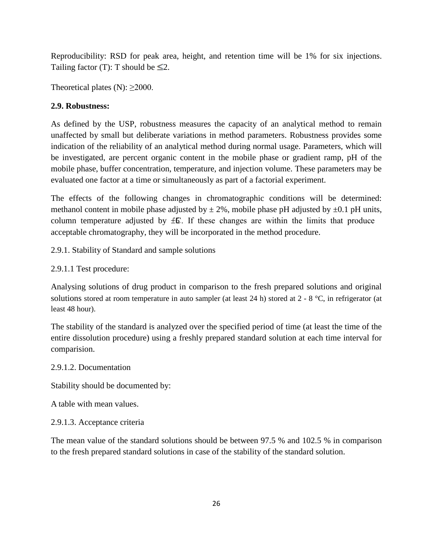Reproducibility: RSD for peak area, height, and retention time will be 1% for six injections. Tailing factor (T): T should be  $\leq 2$ .

Theoretical plates (N):  $\geq$ 2000.

# **2.9. Robustness:**

As defined by the USP, robustness measures the capacity of an analytical method to remain unaffected by small but deliberate variations in method parameters. Robustness provides some indication of the reliability of an analytical method during normal usage. Parameters, which will be investigated, are percent organic content in the mobile phase or gradient ramp, pH of the mobile phase, buffer concentration, temperature, and injection volume. These parameters may be evaluated one factor at a time or simultaneously as part of a factorial experiment.

The effects of the following changes in chromatographic conditions will be determined: methanol content in mobile phase adjusted by  $\pm 2\%$ , mobile phase pH adjusted by  $\pm 0.1$  pH units, column temperature adjusted by  $\pm \mathbb{S}$ . If these changes are within the limits that produce acceptable chromatography, they will be incorporated in the method procedure.

2.9.1. Stability of Standard and sample solutions

2.9.1.1 Test procedure:

Analysing solutions of drug product in comparison to the fresh prepared solutions and original solutions stored at room temperature in auto sampler (at least 24 h) stored at 2 - 8 °C, in refrigerator (at least 48 hour).

The stability of the standard is analyzed over the specified period of time (at least the time of the entire dissolution procedure) using a freshly prepared standard solution at each time interval for comparision.

### 2.9.1.2. Documentation

Stability should be documented by:

A table with mean values.

2.9.1.3. Acceptance criteria

The mean value of the standard solutions should be between 97.5 % and 102.5 % in comparison to the fresh prepared standard solutions in case of the stability of the standard solution.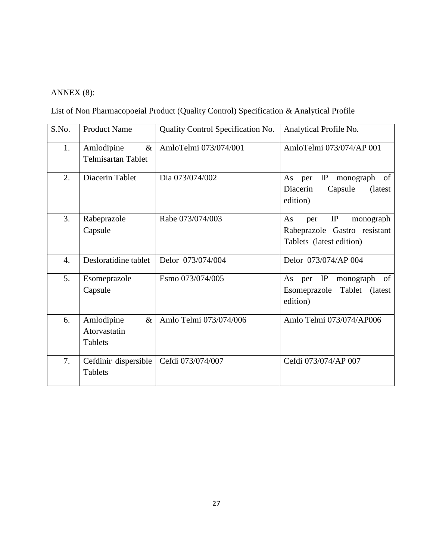# ANNEX (8):

List of Non Pharmacopoeial Product (Quality Control) Specification & Analytical Profile

| S.No. | <b>Product Name</b>                                  | Quality Control Specification No. | Analytical Profile No.                                                                   |
|-------|------------------------------------------------------|-----------------------------------|------------------------------------------------------------------------------------------|
| 1.    | Amlodipine<br>$\&$<br><b>Telmisartan Tablet</b>      | AmloTelmi 073/074/001             | AmloTelmi 073/074/AP 001                                                                 |
| 2.    | Diacerin Tablet                                      | Dia 073/074/002                   | IP<br>monograph of<br>As<br>per<br>Diacerin<br>Capsule<br>(latest)<br>edition)           |
| 3.    | Rabeprazole<br>Capsule                               | Rabe 073/074/003                  | IP<br>As<br>monograph<br>per<br>Rabeprazole Gastro resistant<br>Tablets (latest edition) |
| 4.    | Desloratidine tablet                                 | Delor 073/074/004                 | Delor 073/074/AP 004                                                                     |
| 5.    | Esomeprazole<br>Capsule                              | Esmo 073/074/005                  | IP<br>monograph<br>of<br>As<br>per<br>Tablet (latest<br>Esomeprazole<br>edition)         |
| 6.    | Amlodipine<br>$\&$<br>Atorvastatin<br><b>Tablets</b> | Amlo Telmi 073/074/006            | Amlo Telmi 073/074/AP006                                                                 |
| 7.    | Cefdinir dispersible<br><b>Tablets</b>               | Cefdi 073/074/007                 | Cefdi 073/074/AP 007                                                                     |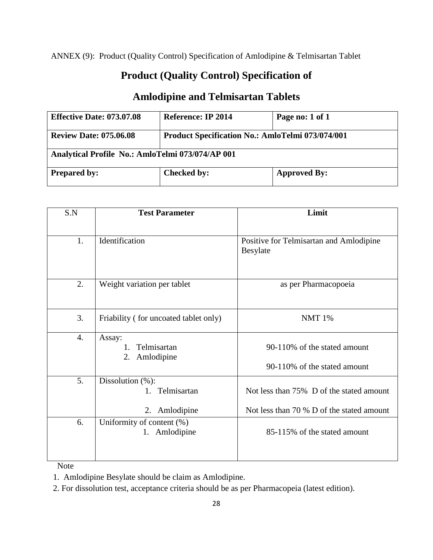ANNEX (9): Product (Quality Control) Specification of Amlodipine & Telmisartan Tablet

# **Product (Quality Control) Specification of**

# **Amlodipine and Telmisartan Tablets**

| <b>Effective Date: 073.07.08</b>                 | Reference: IP 2014                                      | Page no: 1 of 1     |  |
|--------------------------------------------------|---------------------------------------------------------|---------------------|--|
| <b>Review Date: 075.06.08</b>                    | <b>Product Specification No.: AmloTelmi 073/074/001</b> |                     |  |
| Analytical Profile No.: AmloTelmi 073/074/AP 001 |                                                         |                     |  |
| <b>Prepared by:</b>                              | <b>Checked by:</b>                                      | <b>Approved By:</b> |  |

| S.N              | <b>Test Parameter</b>                                       | Limit                                                                                 |
|------------------|-------------------------------------------------------------|---------------------------------------------------------------------------------------|
|                  |                                                             |                                                                                       |
| 1.               | Identification                                              | Positive for Telmisartan and Amlodipine<br>Besylate                                   |
| 2.               | Weight variation per tablet                                 | as per Pharmacopoeia                                                                  |
| 3.               | Friability (for uncoated tablet only)                       | <b>NMT 1%</b>                                                                         |
| $\overline{4}$ . | Assay:<br>Telmisartan<br>$1_{-}$<br>Amlodipine<br>2.        | 90-110% of the stated amount<br>90-110% of the stated amount                          |
| 5.               | Dissolution (%):<br>Telmisartan<br>$1_{-}$<br>2. Amlodipine | Not less than 75% D of the stated amount<br>Not less than 70 % D of the stated amount |
| 6.               | Uniformity of content (%)<br>1. Amlodipine                  | 85-115% of the stated amount                                                          |

Note

1. Amlodipine Besylate should be claim as Amlodipine.

2. For dissolution test, acceptance criteria should be as per Pharmacopeia (latest edition).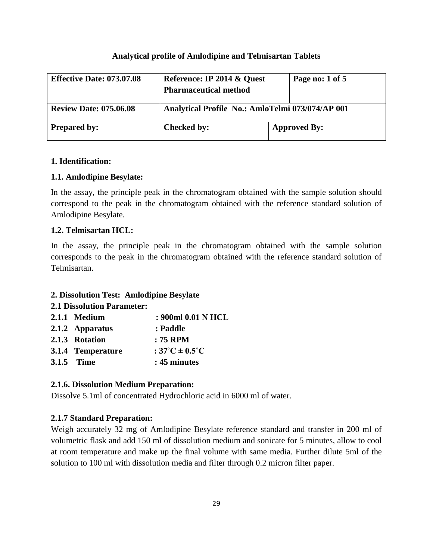### **Analytical profile of Amlodipine and Telmisartan Tablets**

| <b>Effective Date: 073.07.08</b> | Reference: IP 2014 & Quest<br><b>Pharmaceutical method</b> | Page no: 1 of 5     |
|----------------------------------|------------------------------------------------------------|---------------------|
| <b>Review Date: 075.06.08</b>    | Analytical Profile No.: AmloTelmi 073/074/AP 001           |                     |
| <b>Prepared by:</b>              | <b>Checked by:</b>                                         | <b>Approved By:</b> |

### **1. Identification:**

### **1.1. Amlodipine Besylate:**

In the assay, the principle peak in the chromatogram obtained with the sample solution should correspond to the peak in the chromatogram obtained with the reference standard solution of Amlodipine Besylate.

### **1.2. Telmisartan HCL:**

In the assay, the principle peak in the chromatogram obtained with the sample solution corresponds to the peak in the chromatogram obtained with the reference standard solution of Telmisartan.

### **2. Dissolution Test: Amlodipine Besylate**

### **2.1 Dissolution Parameter:**

| 2.1.1 Medium      | : 900ml 0.01 N HCL                  |
|-------------------|-------------------------------------|
| 2.1.2 Apparatus   | : Paddle                            |
| 2.1.3 Rotation    | : 75 RPM                            |
| 3.1.4 Temperature | : $37^{\circ}$ C ± 0.5 $^{\circ}$ C |
| <b>3.1.5 Time</b> | : 45 minutes                        |

### **2.1.6. Dissolution Medium Preparation:**

Dissolve 5.1ml of concentrated Hydrochloric acid in 6000 ml of water.

### **2.1.7 Standard Preparation:**

Weigh accurately 32 mg of Amlodipine Besylate reference standard and transfer in 200 ml of volumetric flask and add 150 ml of dissolution medium and sonicate for 5 minutes, allow to cool at room temperature and make up the final volume with same media. Further dilute 5ml of the solution to 100 ml with dissolution media and filter through 0.2 micron filter paper.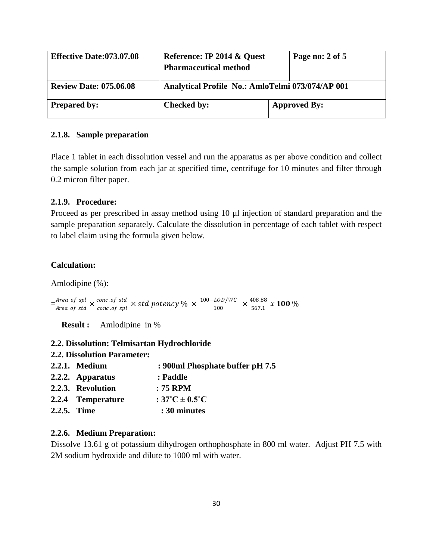| <b>Effective Date:073.07.08</b> | Reference: IP 2014 & Quest<br><b>Pharmaceutical method</b> | Page no: 2 of 5     |
|---------------------------------|------------------------------------------------------------|---------------------|
| <b>Review Date: 075.06.08</b>   | Analytical Profile No.: AmloTelmi 073/074/AP 001           |                     |
| <b>Prepared by:</b>             | <b>Checked by:</b>                                         | <b>Approved By:</b> |

### **2.1.8. Sample preparation**

Place 1 tablet in each dissolution vessel and run the apparatus as per above condition and collect the sample solution from each jar at specified time, centrifuge for 10 minutes and filter through 0.2 micron filter paper.

### **2.1.9. Procedure:**

Proceed as per prescribed in assay method using 10  $\mu$ l injection of standard preparation and the sample preparation separately. Calculate the dissolution in percentage of each tablet with respect to label claim using the formula given below.

### **Calculation:**

Amlodipine (%):

 $=\frac{Area\ of\ spl}{Area\ of\ std}\times \frac{conc.of\ std}{conc.of\ spl}\times std\ potency\ \% \times\frac{100-LOD/WC}{100}$  $\frac{LOD/WC}{100} \times \frac{408.88}{567.1}$  $\frac{1}{567.1}$  x 100 %

 **Result :** Amlodipine in %

### **2.2. Dissolution: Telmisartan Hydrochloride**

| <b>2.2. Dissolution Parameter:</b> |                                         |
|------------------------------------|-----------------------------------------|
| <b>2.2.1.</b> Medium               | : 900ml Phosphate buffer pH 7.5         |
| 2.2.2. Apparatus                   | : Paddle                                |
| 2.2.3. Revolution                  | $: 75$ RPM                              |
| 2.2.4 Temperature                  | : $37^{\circ}$ C $\pm$ 0.5 $^{\circ}$ C |
| 2.2.5. Time                        | : 30 minutes                            |
|                                    |                                         |

### **2.2.6. Medium Preparation:**

Dissolve 13.61 g of potassium dihydrogen orthophosphate in 800 ml water. Adjust PH 7.5 with 2M sodium hydroxide and dilute to 1000 ml with water.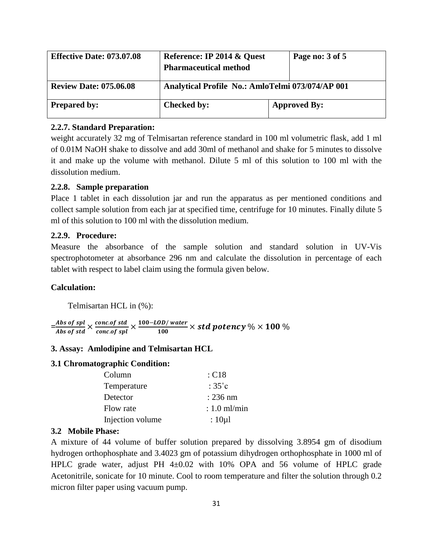| <b>Effective Date: 073.07.08</b> | Reference: IP 2014 & Quest<br><b>Pharmaceutical method</b> |                     | Page no: 3 of 5 |
|----------------------------------|------------------------------------------------------------|---------------------|-----------------|
| <b>Review Date: 075.06.08</b>    | Analytical Profile No.: AmloTelmi 073/074/AP 001           |                     |                 |
| <b>Prepared by:</b>              | <b>Checked by:</b>                                         | <b>Approved By:</b> |                 |

### **2.2.7. Standard Preparation:**

weight accurately 32 mg of Telmisartan reference standard in 100 ml volumetric flask, add 1 ml of 0.01M NaOH shake to dissolve and add 30ml of methanol and shake for 5 minutes to dissolve it and make up the volume with methanol. Dilute 5 ml of this solution to 100 ml with the dissolution medium.

### **2.2.8. Sample preparation**

Place 1 tablet in each dissolution jar and run the apparatus as per mentioned conditions and collect sample solution from each jar at specified time, centrifuge for 10 minutes. Finally dilute 5 ml of this solution to 100 ml with the dissolution medium.

### **2.2.9. Procedure:**

Measure the absorbance of the sample solution and standard solution in UV-Vis spectrophotometer at absorbance 296 nm and calculate the dissolution in percentage of each tablet with respect to label claim using the formula given below.

### **Calculation:**

Telmisartan HCL in (%):

= <u>Abs of spl</u>  $\frac{Abs~of~spl}{Abs~of~std} \times \frac{conc.of~std}{conc.of~spl} \times \frac{100 - LOD/water}{100}$  $\frac{1}{100}$  × std potency % × 100 %

#### **3. Assay: Amlodipine and Telmisartan HCL**

### **3.1 Chromatographic Condition:**

| Column           | : C18            |
|------------------|------------------|
| Temperature      | : $35^{\circ}$ c |
| Detector         | $: 236$ nm       |
| Flow rate        | $: 1.0$ ml/min   |
| Injection volume | : $10 \mu$       |

### **3.2 Mobile Phase:**

A mixture of 44 volume of buffer solution prepared by dissolving 3.8954 gm of disodium hydrogen orthophosphate and 3.4023 gm of potassium dihydrogen orthophosphate in 1000 ml of HPLC grade water, adjust PH 4±0.02 with 10% OPA and 56 volume of HPLC grade Acetonitrile, sonicate for 10 minute. Cool to room temperature and filter the solution through 0.2 micron filter paper using vacuum pump.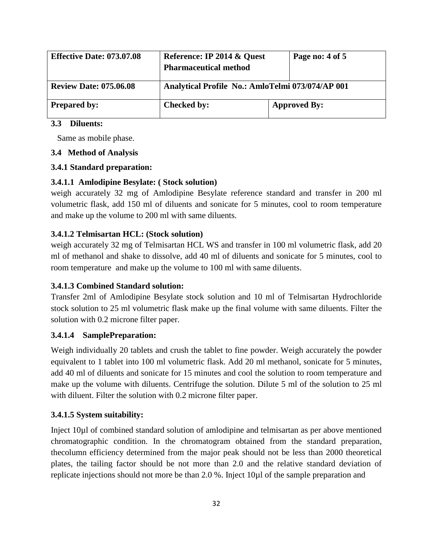| <b>Effective Date: 073.07.08</b> | Reference: IP 2014 & Quest<br><b>Pharmaceutical method</b> |  | Page no: 4 of 5     |
|----------------------------------|------------------------------------------------------------|--|---------------------|
| <b>Review Date: 075.06.08</b>    | Analytical Profile No.: AmloTelmi 073/074/AP 001           |  |                     |
| <b>Prepared by:</b>              | <b>Checked by:</b>                                         |  | <b>Approved By:</b> |

# **3.3 Diluents:**

Same as mobile phase.

### **3.4 Method of Analysis**

# **3.4.1 Standard preparation:**

# **3.4.1.1 Amlodipine Besylate: ( Stock solution)**

weigh accurately 32 mg of Amlodipine Besylate reference standard and transfer in 200 ml volumetric flask, add 150 ml of diluents and sonicate for 5 minutes, cool to room temperature and make up the volume to 200 ml with same diluents.

### **3.4.1.2 Telmisartan HCL: (Stock solution)**

weigh accurately 32 mg of Telmisartan HCL WS and transfer in 100 ml volumetric flask, add 20 ml of methanol and shake to dissolve, add 40 ml of diluents and sonicate for 5 minutes, cool to room temperature and make up the volume to 100 ml with same diluents.

# **3.4.1.3 Combined Standard solution:**

Transfer 2ml of Amlodipine Besylate stock solution and 10 ml of Telmisartan Hydrochloride stock solution to 25 ml volumetric flask make up the final volume with same diluents. Filter the solution with 0.2 microne filter paper.

### **3.4.1.4 SamplePreparation:**

Weigh individually 20 tablets and crush the tablet to fine powder. Weigh accurately the powder equivalent to 1 tablet into 100 ml volumetric flask. Add 20 ml methanol, sonicate for 5 minutes, add 40 ml of diluents and sonicate for 15 minutes and cool the solution to room temperature and make up the volume with diluents. Centrifuge the solution. Dilute 5 ml of the solution to 25 ml with diluent. Filter the solution with 0.2 microne filter paper.

# **3.4.1.5 System suitability:**

Inject 10µl of combined standard solution of amlodipine and telmisartan as per above mentioned chromatographic condition. In the chromatogram obtained from the standard preparation, thecolumn efficiency determined from the major peak should not be less than 2000 theoretical plates, the tailing factor should be not more than 2.0 and the relative standard deviation of replicate injections should not more be than 2.0 %. Inject 10µl of the sample preparation and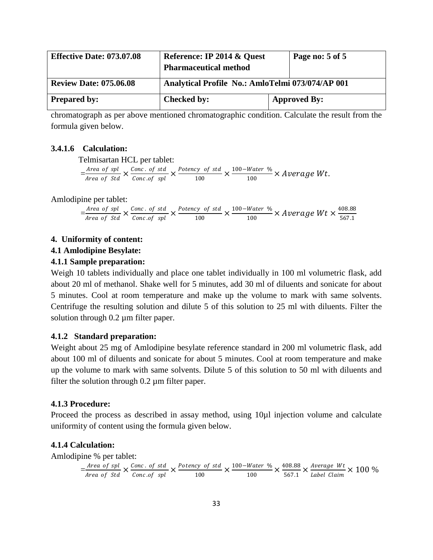| <b>Effective Date: 073.07.08</b> | Reference: IP 2014 & Quest<br><b>Pharmaceutical method</b> | Page no: 5 of 5     |
|----------------------------------|------------------------------------------------------------|---------------------|
| <b>Review Date: 075.06.08</b>    | Analytical Profile No.: AmloTelmi 073/074/AP 001           |                     |
| <b>Prepared by:</b>              | <b>Checked by:</b>                                         | <b>Approved By:</b> |

chromatograph as per above mentioned chromatographic condition. Calculate the result from the formula given below.

### **3.4.1.6 Calculation:**

Telmisartan HCL per tablet:

 $=\frac{Area\ of\ spl}{Area\ of\ Std} \times \frac{Conc.\ of\ std}{Conc.\ of\ spl} \times \frac{Potency\ of\ std}{100}$  $\frac{cy \text{ of std}}{100} \times \frac{100 - Water \%}{100}$  $\frac{1}{100}$  × Average Wt.

Amlodipine per tablet:

 $=\frac{Area\ of\ spl}{Area\ of\ Std} \times \frac{Conc\ .\ of\ std}{Conc\ .of\ spl} \times \frac{Potency\ of\ std}{100}$  $\frac{cy \text{ of std}}{100} \times \frac{100 - Water \%}{100}$  $\frac{Water \ \%}{100} \times Average \ Wt \times \frac{408.88}{567.1}$ 567.1

### **4. Uniformity of content:**

### **4.1 Amlodipine Besylate:**

### **4.1.1 Sample preparation:**

Weigh 10 tablets individually and place one tablet individually in 100 ml volumetric flask, add about 20 ml of methanol. Shake well for 5 minutes, add 30 ml of diluents and sonicate for about 5 minutes. Cool at room temperature and make up the volume to mark with same solvents. Centrifuge the resulting solution and dilute 5 of this solution to 25 ml with diluents. Filter the solution through 0.2  $\mu$ m filter paper.

### **4.1.2 Standard preparation:**

Weight about 25 mg of Amlodipine besylate reference standard in 200 ml volumetric flask, add about 100 ml of diluents and sonicate for about 5 minutes. Cool at room temperature and make up the volume to mark with same solvents. Dilute 5 of this solution to 50 ml with diluents and filter the solution through 0.2 µm filter paper.

### **4.1.3 Procedure:**

Proceed the process as described in assay method, using 10µl injection volume and calculate uniformity of content using the formula given below.

### **4.1.4 Calculation:**

Amlodipine % per tablet:

$$
= \frac{\text{Area of spl}}{\text{Area of Std}} \times \frac{\text{Conc. of std}}{\text{Conc. of spl}} \times \frac{\text{Potency of std}}{100} \times \frac{100 - \text{Water %}}{100} \times \frac{408.88}{567.1} \times \frac{\text{Average Wt}}{\text{Label Claim}} \times 100 %
$$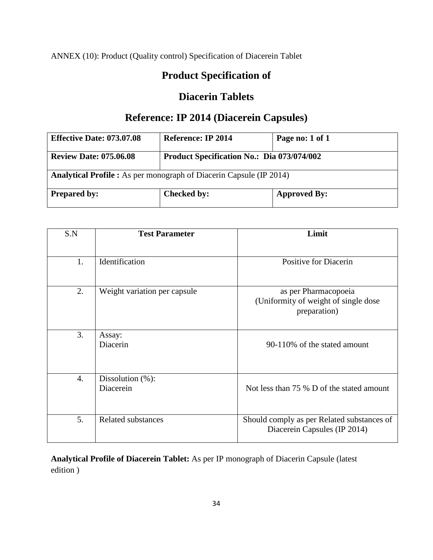ANNEX (10): Product (Quality control) Specification of Diacerein Tablet

# **Product Specification of**

# **Diacerin Tablets**

# **Reference: IP 2014 (Diacerein Capsules)**

| <b>Effective Date: 073.07.08</b>                                           | <b>Reference: IP 2014</b>                         | Page no: 1 of 1     |
|----------------------------------------------------------------------------|---------------------------------------------------|---------------------|
| <b>Review Date: 075.06.08</b>                                              | <b>Product Specification No.: Dia 073/074/002</b> |                     |
| <b>Analytical Profile :</b> As per monograph of Diacerin Capsule (IP 2014) |                                                   |                     |
| <b>Prepared by:</b>                                                        | <b>Checked by:</b>                                | <b>Approved By:</b> |

| S.N | <b>Test Parameter</b>             | Limit                                                                         |
|-----|-----------------------------------|-------------------------------------------------------------------------------|
| 1.  | Identification                    | Positive for Diacerin                                                         |
| 2.  | Weight variation per capsule      | as per Pharmacopoeia<br>(Uniformity of weight of single dose)<br>preparation) |
| 3.  | Assay:<br>Diacerin                | 90-110% of the stated amount                                                  |
| 4.  | Dissolution $(\%)$ :<br>Diacerein | Not less than 75 % D of the stated amount                                     |
| 5.  | <b>Related substances</b>         | Should comply as per Related substances of<br>Diacerein Capsules (IP 2014)    |

**Analytical Profile of Diacerein Tablet:** As per IP monograph of Diacerin Capsule (latest edition )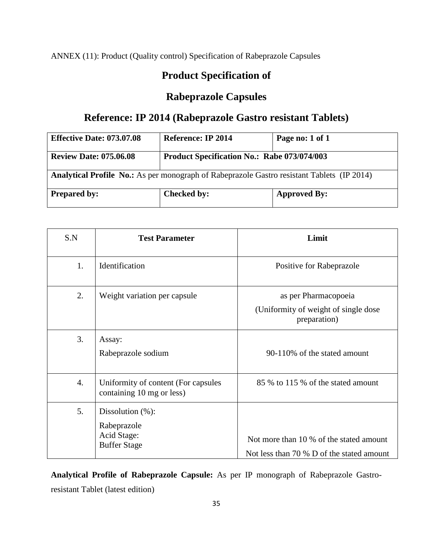ANNEX (11): Product (Quality control) Specification of Rabeprazole Capsules

# **Product Specification of**

# **Rabeprazole Capsules**

# **Reference: IP 2014 (Rabeprazole Gastro resistant Tablets)**

| <b>Effective Date: 073.07.08</b>                                                                  | <b>Reference: IP 2014</b>                          | Page no: 1 of 1     |
|---------------------------------------------------------------------------------------------------|----------------------------------------------------|---------------------|
| <b>Review Date: 075.06.08</b>                                                                     | <b>Product Specification No.: Rabe 073/074/003</b> |                     |
| <b>Analytical Profile No.:</b> As per monograph of Rabeprazole Gastro resistant Tablets (IP 2014) |                                                    |                     |
| <b>Prepared by:</b>                                                                               | Checked by:                                        | <b>Approved By:</b> |

| S.N | <b>Test Parameter</b>                                                     | Limit                                                                                |
|-----|---------------------------------------------------------------------------|--------------------------------------------------------------------------------------|
| 1.  | Identification                                                            | Positive for Rabeprazole                                                             |
| 2.  | Weight variation per capsule                                              | as per Pharmacopoeia<br>(Uniformity of weight of single dose)<br>preparation)        |
| 3.  | Assay:<br>Rabeprazole sodium                                              | 90-110% of the stated amount                                                         |
| 4.  | Uniformity of content (For capsules<br>containing 10 mg or less)          | 85 % to 115 % of the stated amount                                                   |
| 5.  | Dissolution $(\%)$ :<br>Rabeprazole<br>Acid Stage:<br><b>Buffer Stage</b> | Not more than 10 % of the stated amount<br>Not less than 70 % D of the stated amount |

**Analytical Profile of Rabeprazole Capsule:** As per IP monograph of Rabeprazole Gastroresistant Tablet (latest edition)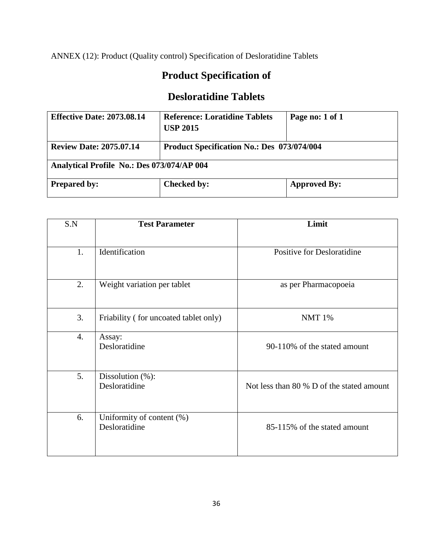ANNEX (12): Product (Quality control) Specification of Desloratidine Tablets

# **Product Specification of**

# **Desloratidine Tablets**

| <b>Effective Date: 2073.08.14</b>          | <b>Reference: Loratidine Tablets</b><br><b>USP 2015</b> | Page no: 1 of 1     |
|--------------------------------------------|---------------------------------------------------------|---------------------|
| <b>Review Date: 2075.07.14</b>             | <b>Product Specification No.: Des 073/074/004</b>       |                     |
| Analytical Profile No.: Des 073/074/AP 004 |                                                         |                     |
| <b>Prepared by:</b>                        | <b>Checked by:</b>                                      | <b>Approved By:</b> |

| S.N | <b>Test Parameter</b>                 | Limit                                     |
|-----|---------------------------------------|-------------------------------------------|
|     |                                       |                                           |
| 1.  | Identification                        | Positive for Desloratidine                |
|     |                                       |                                           |
| 2.  | Weight variation per tablet           | as per Pharmacopoeia                      |
|     |                                       |                                           |
| 3.  | Friability (for uncoated tablet only) | <b>NMT 1%</b>                             |
| 4.  | Assay:                                |                                           |
|     | Desloratidine                         | 90-110% of the stated amount              |
| 5.  | Dissolution $(\%)$ :                  |                                           |
|     | Desloratidine                         | Not less than 80 % D of the stated amount |
| 6.  | Uniformity of content (%)             |                                           |
|     | Desloratidine                         | 85-115% of the stated amount              |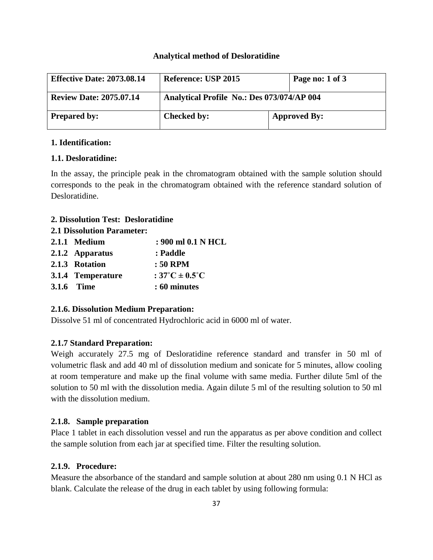### **Analytical method of Desloratidine**

| <b>Effective Date: 2073.08.14</b> | Reference: USP 2015                        | Page no: 1 of 3     |
|-----------------------------------|--------------------------------------------|---------------------|
| <b>Review Date: 2075.07.14</b>    | Analytical Profile No.: Des 073/074/AP 004 |                     |
| <b>Prepared by:</b>               | <b>Checked by:</b>                         | <b>Approved By:</b> |

## **1. Identification:**

# **1.1. Desloratidine:**

In the assay, the principle peak in the chromatogram obtained with the sample solution should corresponds to the peak in the chromatogram obtained with the reference standard solution of Desloratidine.

# **2. Dissolution Test: Desloratidine**

### **2.1 Dissolution Parameter:**

| 2.1.1 Medium      | : 900 ml 0.1 N HCL       |
|-------------------|--------------------------|
| 2.1.2 Apparatus   | : Paddle                 |
| 2.1.3 Rotation    | $:50$ RPM                |
| 3.1.4 Temperature | : $37^{\circ}$ C ± 0.5°C |
| <b>3.1.6 Time</b> | : 60 minutes             |

# **2.1.6. Dissolution Medium Preparation:**

Dissolve 51 ml of concentrated Hydrochloric acid in 6000 ml of water.

# **2.1.7 Standard Preparation:**

Weigh accurately 27.5 mg of Desloratidine reference standard and transfer in 50 ml of volumetric flask and add 40 ml of dissolution medium and sonicate for 5 minutes, allow cooling at room temperature and make up the final volume with same media. Further dilute 5ml of the solution to 50 ml with the dissolution media. Again dilute 5 ml of the resulting solution to 50 ml with the dissolution medium.

### **2.1.8. Sample preparation**

Place 1 tablet in each dissolution vessel and run the apparatus as per above condition and collect the sample solution from each jar at specified time. Filter the resulting solution.

### **2.1.9. Procedure:**

Measure the absorbance of the standard and sample solution at about 280 nm using 0.1 N HCl as blank. Calculate the release of the drug in each tablet by using following formula: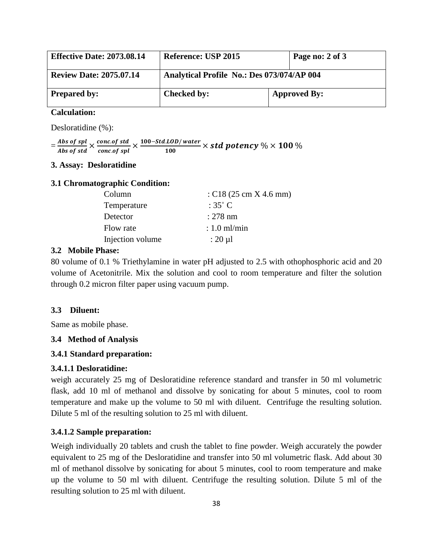| <b>Effective Date: 2073.08.14</b> | Reference: USP 2015                        | Page no: 2 of 3     |
|-----------------------------------|--------------------------------------------|---------------------|
| <b>Review Date: 2075.07.14</b>    | Analytical Profile No.: Des 073/074/AP 004 |                     |
| <b>Prepared by:</b>               | Checked by:                                | <b>Approved By:</b> |

### **Calculation:**

Desloratidine (%):

 $=\frac{Abs~of~spl}{Abs~of~std} \times \frac{concoof~std}{concof~spl} \times \frac{100-Std.LOD/water}{100}$  $\frac{1}{100}$   $\times$  std potency  $\%$   $\times$  100  $\%$ 

## **3. Assay: Desloratidine**

#### **3.1 Chromatographic Condition:**

| Column           | : $C18(25 \text{ cm} \times 4.6 \text{ mm})$ |
|------------------|----------------------------------------------|
| Temperature      | $:35^{\circ}$ C                              |
| Detector         | $: 278$ nm                                   |
| Flow rate        | $: 1.0$ ml/min                               |
| Injection volume | $: 20 \mu l$                                 |

### **3.2 Mobile Phase:**

80 volume of 0.1 % Triethylamine in water pH adjusted to 2.5 with othophosphoric acid and 20 volume of Acetonitrile. Mix the solution and cool to room temperature and filter the solution through 0.2 micron filter paper using vacuum pump.

### **3.3 Diluent:**

Same as mobile phase.

### **3.4 Method of Analysis**

### **3.4.1 Standard preparation:**

### **3.4.1.1 Desloratidine:**

weigh accurately 25 mg of Desloratidine reference standard and transfer in 50 ml volumetric flask, add 10 ml of methanol and dissolve by sonicating for about 5 minutes, cool to room temperature and make up the volume to 50 ml with diluent. Centrifuge the resulting solution. Dilute 5 ml of the resulting solution to 25 ml with diluent.

### **3.4.1.2 Sample preparation:**

Weigh individually 20 tablets and crush the tablet to fine powder. Weigh accurately the powder equivalent to 25 mg of the Desloratidine and transfer into 50 ml volumetric flask. Add about 30 ml of methanol dissolve by sonicating for about 5 minutes, cool to room temperature and make up the volume to 50 ml with diluent. Centrifuge the resulting solution. Dilute 5 ml of the resulting solution to 25 ml with diluent.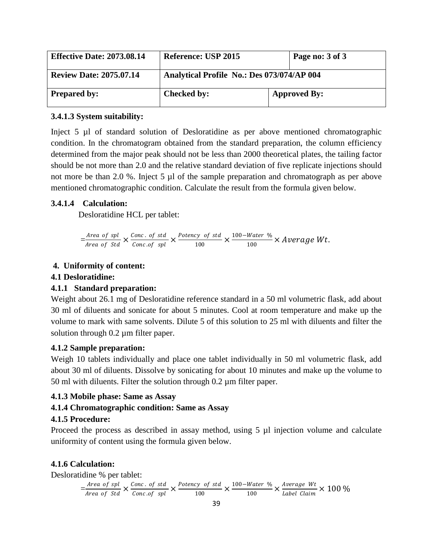| <b>Effective Date: 2073.08.14</b> | Reference: USP 2015                        | Page no: 3 of 3     |
|-----------------------------------|--------------------------------------------|---------------------|
| <b>Review Date: 2075.07.14</b>    | Analytical Profile No.: Des 073/074/AP 004 |                     |
| <b>Prepared by:</b>               | <b>Checked by:</b>                         | <b>Approved By:</b> |

## **3.4.1.3 System suitability:**

Inject 5 µl of standard solution of Desloratidine as per above mentioned chromatographic condition. In the chromatogram obtained from the standard preparation, the column efficiency determined from the major peak should not be less than 2000 theoretical plates, the tailing factor should be not more than 2.0 and the relative standard deviation of five replicate injections should not more be than 2.0 %. Inject 5 µl of the sample preparation and chromatograph as per above mentioned chromatographic condition. Calculate the result from the formula given below.

# **3.4.1.4 Calculation:**

Desloratidine HCL per tablet:

$$
= \frac{\text{Area of spl}}{\text{Area of Std}} \times \frac{\text{Conc. of std}}{\text{Conc. of spl}} \times \frac{\text{Potency of std}}{100} \times \frac{100 - \text{Water %}}{100} \times \text{Average Wt}.
$$

# **4. Uniformity of content:**

# **4.1 Desloratidine:**

### **4.1.1 Standard preparation:**

Weight about 26.1 mg of Desloratidine reference standard in a 50 ml volumetric flask, add about 30 ml of diluents and sonicate for about 5 minutes. Cool at room temperature and make up the volume to mark with same solvents. Dilute 5 of this solution to 25 ml with diluents and filter the solution through 0.2  $\mu$ m filter paper.

### **4.1.2 Sample preparation:**

Weigh 10 tablets individually and place one tablet individually in 50 ml volumetric flask, add about 30 ml of diluents. Dissolve by sonicating for about 10 minutes and make up the volume to 50 ml with diluents. Filter the solution through  $0.2 \mu$ m filter paper.

### **4.1.3 Mobile phase: Same as Assay**

# **4.1.4 Chromatographic condition: Same as Assay**

# **4.1.5 Procedure:**

Proceed the process as described in assay method, using 5 µl injection volume and calculate uniformity of content using the formula given below.

# **4.1.6 Calculation:**

Desloratidine % per tablet:

$$
= \frac{\text{Area of spl}}{\text{Area of Std}} \times \frac{\text{Conc. of std}}{\text{Conc. of spl}} \times \frac{\text{Potency of std}}{100} \times \frac{100 - \text{Water %}}{100} \times \frac{\text{Average Wt}}{\text{Label Claim}} \times 100 %
$$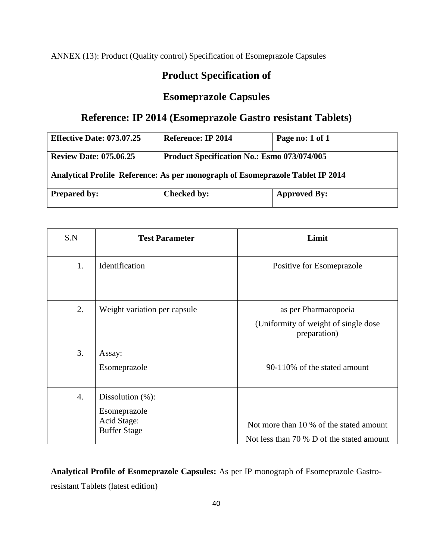ANNEX (13): Product (Quality control) Specification of Esomeprazole Capsules

# **Product Specification of**

# **Esomeprazole Capsules**

# **Reference: IP 2014 (Esomeprazole Gastro resistant Tablets)**

| <b>Effective Date: 073.07.25</b>                                              | <b>Reference: IP 2014</b>                          | Page no: 1 of 1     |
|-------------------------------------------------------------------------------|----------------------------------------------------|---------------------|
| <b>Review Date: 075.06.25</b>                                                 | <b>Product Specification No.: Esmo 073/074/005</b> |                     |
| Analytical Profile Reference: As per monograph of Esomeprazole Tablet IP 2014 |                                                    |                     |
| <b>Prepared by:</b>                                                           | <b>Checked by:</b>                                 | <b>Approved By:</b> |

| S.N              | <b>Test Parameter</b>                                                      | Limit                                                                                |
|------------------|----------------------------------------------------------------------------|--------------------------------------------------------------------------------------|
| 1.               | Identification                                                             | Positive for Esomeprazole                                                            |
| 2.               | Weight variation per capsule                                               | as per Pharmacopoeia<br>(Uniformity of weight of single dose)<br>preparation)        |
| 3.               | Assay:<br>Esomeprazole                                                     | 90-110% of the stated amount                                                         |
| $\overline{4}$ . | Dissolution $(\%)$ :<br>Esomeprazole<br>Acid Stage:<br><b>Buffer Stage</b> | Not more than 10 % of the stated amount<br>Not less than 70 % D of the stated amount |

**Analytical Profile of Esomeprazole Capsules:** As per IP monograph of Esomeprazole Gastroresistant Tablets (latest edition)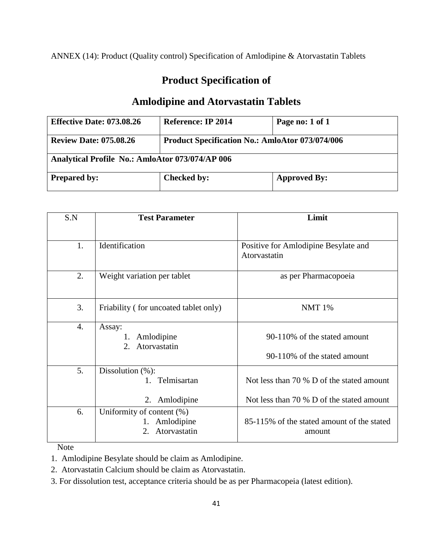ANNEX (14): Product (Quality control) Specification of Amlodipine & Atorvastatin Tablets

# **Product Specification of**

# **Amlodipine and Atorvastatin Tablets**

| <b>Effective Date: 073.08.26</b>                       | Reference: IP 2014                                     | Page no: 1 of 1     |  |
|--------------------------------------------------------|--------------------------------------------------------|---------------------|--|
| <b>Review Date: 075.08.26</b>                          | <b>Product Specification No.: AmloAtor 073/074/006</b> |                     |  |
| <b>Analytical Profile No.: AmloAtor 073/074/AP 006</b> |                                                        |                     |  |
| <b>Prepared by:</b>                                    | <b>Checked by:</b>                                     | <b>Approved By:</b> |  |

| S.N              | <b>Test Parameter</b>                                         | Limit                                                |
|------------------|---------------------------------------------------------------|------------------------------------------------------|
|                  |                                                               |                                                      |
| 1.               | Identification                                                | Positive for Amlodipine Besylate and<br>Atorvastatin |
| 2.               | Weight variation per tablet                                   | as per Pharmacopoeia                                 |
| 3.               | Friability (for uncoated tablet only)                         | <b>NMT 1%</b>                                        |
| $\overline{4}$ . | Assay:<br>1. Amlodipine<br>Atorvastatin<br>2.                 | 90-110% of the stated amount                         |
|                  |                                                               | 90-110% of the stated amount                         |
| 5.               | Dissolution $(\%)$ :<br>1. Telmisartan                        | Not less than 70 % D of the stated amount            |
|                  | 2. Amlodipine                                                 | Not less than 70 % D of the stated amount            |
| 6.               | Uniformity of content (%)<br>1. Amlodipine<br>2. Atorvastatin | 85-115% of the stated amount of the stated<br>amount |

Note

1. Amlodipine Besylate should be claim as Amlodipine.

2. Atorvastatin Calcium should be claim as Atorvastatin.

3. For dissolution test, acceptance criteria should be as per Pharmacopeia (latest edition).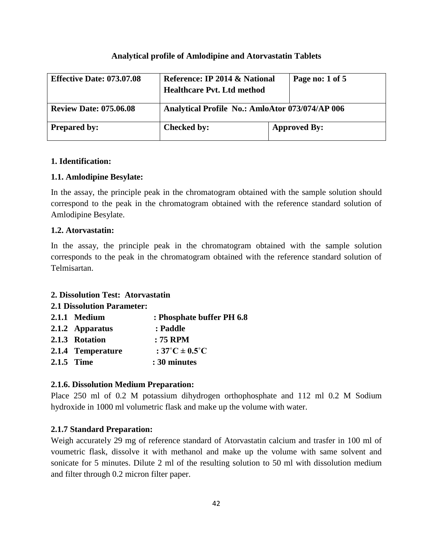### **Analytical profile of Amlodipine and Atorvastatin Tablets**

| <b>Effective Date: 073.07.08</b> | Reference: IP 2014 & National<br>Page no: 1 of 5<br><b>Healthcare Pyt. Ltd method</b> |                     |
|----------------------------------|---------------------------------------------------------------------------------------|---------------------|
| <b>Review Date: 075.06.08</b>    | Analytical Profile No.: AmloAtor 073/074/AP 006                                       |                     |
| <b>Prepared by:</b>              | Checked by:                                                                           | <b>Approved By:</b> |

### **1. Identification:**

### **1.1. Amlodipine Besylate:**

In the assay, the principle peak in the chromatogram obtained with the sample solution should correspond to the peak in the chromatogram obtained with the reference standard solution of Amlodipine Besylate.

### **1.2. Atorvastatin:**

In the assay, the principle peak in the chromatogram obtained with the sample solution corresponds to the peak in the chromatogram obtained with the reference standard solution of Telmisartan.

### **2. Dissolution Test: Atorvastatin**

### **2.1 Dissolution Parameter:**

| 2.1.1 Medium      | : Phosphate buffer PH 6.8               |
|-------------------|-----------------------------------------|
| 2.1.2 Apparatus   | : Paddle                                |
| 2.1.3 Rotation    | $: 75$ RPM                              |
| 2.1.4 Temperature | : $37^{\circ}$ C $\pm$ 0.5 $^{\circ}$ C |
| 2.1.5 Time        | : 30 minutes                            |

### **2.1.6. Dissolution Medium Preparation:**

Place 250 ml of 0.2 M potassium dihydrogen orthophosphate and 112 ml 0.2 M Sodium hydroxide in 1000 ml volumetric flask and make up the volume with water.

### **2.1.7 Standard Preparation:**

Weigh accurately 29 mg of reference standard of Atorvastatin calcium and trasfer in 100 ml of voumetric flask, dissolve it with methanol and make up the volume with same solvent and sonicate for 5 minutes. Dilute 2 ml of the resulting solution to 50 ml with dissolution medium and filter through 0.2 micron filter paper.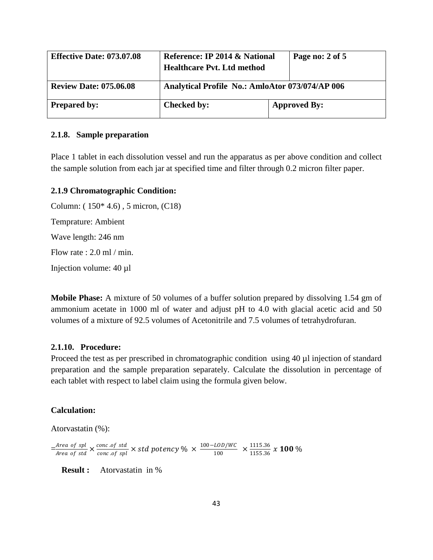| <b>Effective Date: 073.07.08</b> | Page no: 2 of 5<br>Reference: IP 2014 & National<br><b>Healthcare Pvt. Ltd method</b> |                     |
|----------------------------------|---------------------------------------------------------------------------------------|---------------------|
| <b>Review Date: 075.06.08</b>    | Analytical Profile No.: AmloAtor 073/074/AP 006                                       |                     |
| <b>Prepared by:</b>              | Checked by:                                                                           | <b>Approved By:</b> |

#### **2.1.8. Sample preparation**

Place 1 tablet in each dissolution vessel and run the apparatus as per above condition and collect the sample solution from each jar at specified time and filter through 0.2 micron filter paper.

### **2.1.9 Chromatographic Condition:**

Column: ( 150\* 4.6) , 5 micron, (C18) Temprature: Ambient Wave length: 246 nm Flow rate : 2.0 ml / min. Injection volume: 40 µl

**Mobile Phase:** A mixture of 50 volumes of a buffer solution prepared by dissolving 1.54 gm of ammonium acetate in 1000 ml of water and adjust pH to 4.0 with glacial acetic acid and 50 volumes of a mixture of 92.5 volumes of Acetonitrile and 7.5 volumes of tetrahydrofuran.

### **2.1.10. Procedure:**

Proceed the test as per prescribed in chromatographic condition using 40 µl injection of standard preparation and the sample preparation separately. Calculate the dissolution in percentage of each tablet with respect to label claim using the formula given below.

### **Calculation:**

Atorvastatin (%):

 $=\frac{Area\ of\ spl}{Area\ of\ std}\times \frac{conc.of\ std}{conc.of\ spl}\times std\ potency\% \times \frac{100-LOD/WC}{100}$  $\frac{100}{100} \times \frac{1115.36}{1155.36}$  $\frac{1155.36}{x}$  **100** %

 **Result :** Atorvastatin in %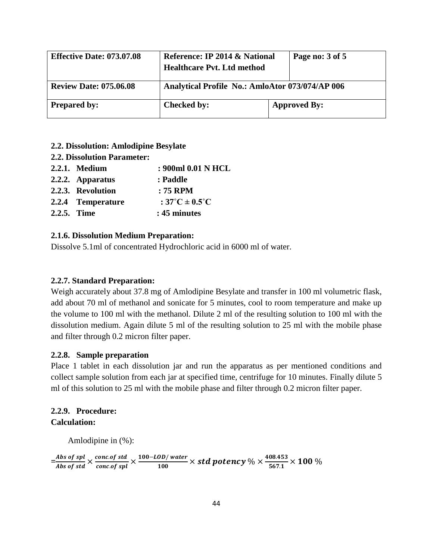| <b>Effective Date: 073.07.08</b> | Reference: IP 2014 & National<br><b>Healthcare Pyt. Ltd method</b> | Page no: 3 of 5     |
|----------------------------------|--------------------------------------------------------------------|---------------------|
| <b>Review Date: 075.06.08</b>    | <b>Analytical Profile No.: AmloAtor 073/074/AP 006</b>             |                     |
| <b>Prepared by:</b>              | <b>Checked by:</b>                                                 | <b>Approved By:</b> |

- **2.2. Dissolution: Amlodipine Besylate**
- **2.2. Dissolution Parameter:**

|             | 2.2.1. Medium     | : 900ml 0.01 N HCL                 |
|-------------|-------------------|------------------------------------|
|             | 2.2.2. Apparatus  | : Paddle                           |
|             | 2.2.3. Revolution | $: 75$ RPM                         |
|             | 2.2.4 Temperature | : $37^{\circ}$ C ± $0.5^{\circ}$ C |
| 2.2.5. Time |                   | : 45 minutes                       |

### **2.1.6. Dissolution Medium Preparation:**

Dissolve 5.1ml of concentrated Hydrochloric acid in 6000 ml of water.

### **2.2.7. Standard Preparation:**

Weigh accurately about 37.8 mg of Amlodipine Besylate and transfer in 100 ml volumetric flask, add about 70 ml of methanol and sonicate for 5 minutes, cool to room temperature and make up the volume to 100 ml with the methanol. Dilute 2 ml of the resulting solution to 100 ml with the dissolution medium. Again dilute 5 ml of the resulting solution to 25 ml with the mobile phase and filter through 0.2 micron filter paper.

### **2.2.8. Sample preparation**

Place 1 tablet in each dissolution jar and run the apparatus as per mentioned conditions and collect sample solution from each jar at specified time, centrifuge for 10 minutes. Finally dilute 5 ml of this solution to 25 ml with the mobile phase and filter through 0.2 micron filter paper.

# **2.2.9. Procedure:**

# **Calculation:**

Amlodipine in (%):

 $=\frac{Abs~of~spl}{Abs~of~std} \times \frac{concof~std}{concof~spl} \times \frac{100 - LOD/water}{100}$  $\frac{OD/water}{100} \times std\ potency\ % \times \frac{408.453}{567.1}$  $\frac{1}{67.1}$   $\times$  100 %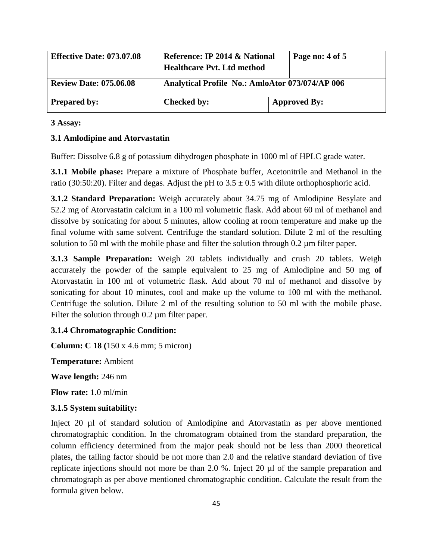| <b>Effective Date: 073.07.08</b> | Reference: IP 2014 & National<br>Page no: 4 of 5<br><b>Healthcare Pvt. Ltd method</b> |                     |
|----------------------------------|---------------------------------------------------------------------------------------|---------------------|
| <b>Review Date: 075.06.08</b>    | Analytical Profile No.: AmloAtor 073/074/AP 006                                       |                     |
| <b>Prepared by:</b>              | <b>Checked by:</b>                                                                    | <b>Approved By:</b> |

## **3 Assay:**

# **3.1 Amlodipine and Atorvastatin**

Buffer: Dissolve 6.8 g of potassium dihydrogen phosphate in 1000 ml of HPLC grade water.

**3.1.1 Mobile phase:** Prepare a mixture of Phosphate buffer, Acetonitrile and Methanol in the ratio (30:50:20). Filter and degas. Adjust the pH to  $3.5 \pm 0.5$  with dilute orthophosphoric acid.

**3.1.2 Standard Preparation:** Weigh accurately about 34.75 mg of Amlodipine Besylate and 52.2 mg of Atorvastatin calcium in a 100 ml volumetric flask. Add about 60 ml of methanol and dissolve by sonicating for about 5 minutes, allow cooling at room temperature and make up the final volume with same solvent. Centrifuge the standard solution. Dilute 2 ml of the resulting solution to 50 ml with the mobile phase and filter the solution through  $0.2 \mu m$  filter paper.

**3.1.3 Sample Preparation:** Weigh 20 tablets individually and crush 20 tablets. Weigh accurately the powder of the sample equivalent to 25 mg of Amlodipine and 50 mg **of**  Atorvastatin in 100 ml of volumetric flask. Add about 70 ml of methanol and dissolve by sonicating for about 10 minutes, cool and make up the volume to 100 ml with the methanol. Centrifuge the solution. Dilute 2 ml of the resulting solution to 50 ml with the mobile phase. Filter the solution through 0.2  $\mu$ m filter paper.

### **3.1.4 Chromatographic Condition:**

**Column: C 18 (**150 x 4.6 mm; 5 micron)

**Temperature:** Ambient

**Wave length:** 246 nm

**Flow rate:** 1.0 ml/min

### **3.1.5 System suitability:**

Inject 20 µl of standard solution of Amlodipine and Atorvastatin as per above mentioned chromatographic condition. In the chromatogram obtained from the standard preparation, the column efficiency determined from the major peak should not be less than 2000 theoretical plates, the tailing factor should be not more than 2.0 and the relative standard deviation of five replicate injections should not more be than 2.0 %. Inject 20 µl of the sample preparation and chromatograph as per above mentioned chromatographic condition. Calculate the result from the formula given below.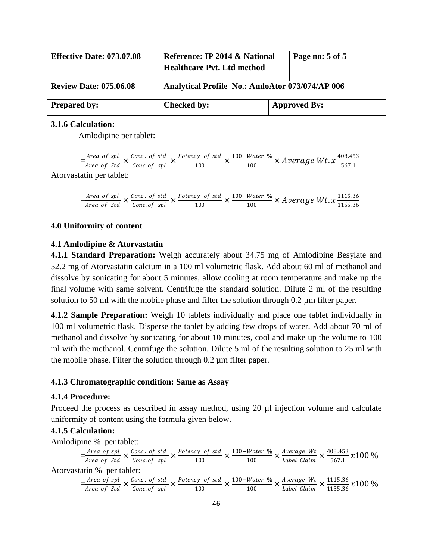| <b>Effective Date: 073.07.08</b> | Reference: IP 2014 & National<br><b>Healthcare Pvt. Ltd method</b> | Page no: 5 of 5     |
|----------------------------------|--------------------------------------------------------------------|---------------------|
| <b>Review Date: 075.06.08</b>    | <b>Analytical Profile No.: AmloAtor 073/074/AP 006</b>             |                     |
| <b>Prepared by:</b>              | Checked by:                                                        | <b>Approved By:</b> |

### **3.1.6 Calculation:**

Amlodipine per tablet:

 $=\frac{Area\ of\ spl}{Area\ of\ Std} \times \frac{Conc\ .\ of\ std}{Conc\ .of\ spl} \times \frac{Potency\ of\ std}{100}$  $\frac{cy \text{ of std}}{100} \times \frac{100 - Water \text{ %}}{100}$  $\frac{Water \ \%}{100}$  × Average Wt.  $x \frac{408.453}{567.1}$ 567.1 Atorvastatin per tablet:

 $=\frac{Area\ of\ spl}{Area\ of\ Std} \times \frac{Conc\ .\ of\ std}{Conc\ .of\ spl} \times \frac{Potency\ of\ std}{100}$  $\frac{cy \text{ of std}}{100} \times \frac{100 - Water \text{ %}}{100}$  $\frac{Water \ \%}{100}$   $\times$  Average Wt.  $x \frac{1115.36}{1155.36}$ 1155.36

### **4.0 Uniformity of content**

### **4.1 Amlodipine & Atorvastatin**

**4.1.1 Standard Preparation:** Weigh accurately about 34.75 mg of Amlodipine Besylate and 52.2 mg of Atorvastatin calcium in a 100 ml volumetric flask. Add about 60 ml of methanol and dissolve by sonicating for about 5 minutes, allow cooling at room temperature and make up the final volume with same solvent. Centrifuge the standard solution. Dilute 2 ml of the resulting solution to 50 ml with the mobile phase and filter the solution through 0.2  $\mu$ m filter paper.

**4.1.2 Sample Preparation:** Weigh 10 tablets individually and place one tablet individually in 100 ml volumetric flask. Disperse the tablet by adding few drops of water. Add about 70 ml of methanol and dissolve by sonicating for about 10 minutes, cool and make up the volume to 100 ml with the methanol. Centrifuge the solution. Dilute 5 ml of the resulting solution to 25 ml with the mobile phase. Filter the solution through 0.2 µm filter paper.

### **4.1.3 Chromatographic condition: Same as Assay**

### **4.1.4 Procedure:**

Proceed the process as described in assay method, using 20  $\mu$ l injection volume and calculate uniformity of content using the formula given below.

#### **4.1.5 Calculation:**

Amlodipine % per tablet:

$$
= \frac{Area\ of\ spl}{Area\ of\ Std} \times \frac{Conc.\ of\ std}{Conc.\ of\ spl} \times \frac{Potency\ of\ std}{100} \times \frac{100-Water\ \%}{100} \times \frac{Average\ Wt}{Label\ Claim} \times \frac{408.453}{567.1} \times 100\ \%
$$

$$
= \frac{\text{Area of spl}}{\text{Area of Std}} \times \frac{\text{Conc. of std}}{\text{Conc. of spl}} \times \frac{\text{Potency of std}}{100} \times \frac{100 - \text{Water %}}{100} \times \frac{\text{Average Wt}}{\text{Label Claim}} \times \frac{1115.36}{1155.36} \times 100\%
$$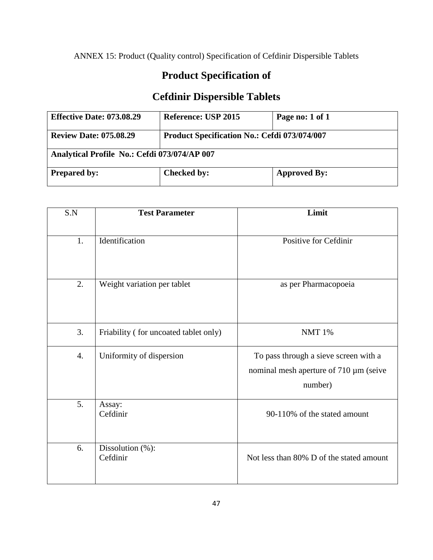ANNEX 15: Product (Quality control) Specification of Cefdinir Dispersible Tablets

# **Product Specification of**

# **Cefdinir Dispersible Tablets**

| <b>Effective Date: 073.08.29</b>             | <b>Reference: USP 2015</b>                          | Page no: 1 of 1     |  |
|----------------------------------------------|-----------------------------------------------------|---------------------|--|
| <b>Review Date: 075.08.29</b>                | <b>Product Specification No.: Cefdi 073/074/007</b> |                     |  |
| Analytical Profile No.: Cefdi 073/074/AP 007 |                                                     |                     |  |
| <b>Prepared by:</b>                          | <b>Checked by:</b>                                  | <b>Approved By:</b> |  |

| S.N              | <b>Test Parameter</b>                 | Limit                                                                                      |
|------------------|---------------------------------------|--------------------------------------------------------------------------------------------|
| 1.               | Identification                        | Positive for Cefdinir                                                                      |
|                  |                                       |                                                                                            |
| 2.               | Weight variation per tablet           | as per Pharmacopoeia                                                                       |
| 3.               | Friability (for uncoated tablet only) | <b>NMT 1%</b>                                                                              |
| $\overline{4}$ . | Uniformity of dispersion              | To pass through a sieve screen with a<br>nominal mesh aperture of 710 µm (seive<br>number) |
| 5.               | Assay:<br>Cefdinir                    | 90-110% of the stated amount                                                               |
| 6.               | Dissolution (%):<br>Cefdinir          | Not less than 80% D of the stated amount                                                   |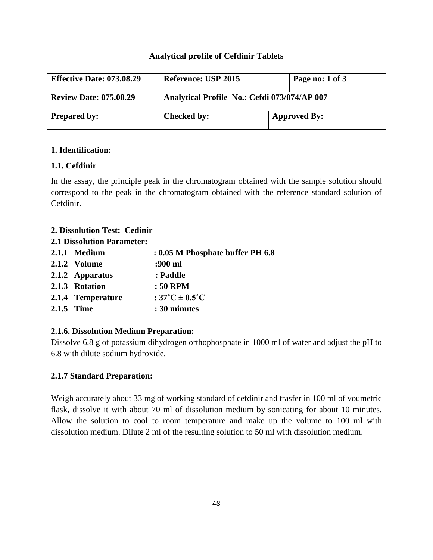## **Analytical profile of Cefdinir Tablets**

| <b>Effective Date: 073.08.29</b> | Reference: USP 2015                          | Page no: 1 of 3     |
|----------------------------------|----------------------------------------------|---------------------|
| <b>Review Date: 075.08.29</b>    | Analytical Profile No.: Cefdi 073/074/AP 007 |                     |
| <b>Prepared by:</b>              | <b>Checked by:</b>                           | <b>Approved By:</b> |

# **1. Identification:**

# **1.1. Cefdinir**

In the assay, the principle peak in the chromatogram obtained with the sample solution should correspond to the peak in the chromatogram obtained with the reference standard solution of Cefdinir.

# **2. Dissolution Test: Cedinir**

**2.1 Dissolution Parameter:** 

| 2.1.1 Medium      | : 0.05 M Phosphate buffer PH 6.8   |
|-------------------|------------------------------------|
| 2.1.2 Volume      | :900 ml                            |
| 2.1.2 Apparatus   | : Paddle                           |
| 2.1.3 Rotation    | : 50 RPM                           |
| 2.1.4 Temperature | : $37^{\circ}$ C ± $0.5^{\circ}$ C |
| 2.1.5 Time        | : 30 minutes                       |

# **2.1.6. Dissolution Medium Preparation:**

Dissolve 6.8 g of potassium dihydrogen orthophosphate in 1000 ml of water and adjust the pH to 6.8 with dilute sodium hydroxide.

# **2.1.7 Standard Preparation:**

Weigh accurately about 33 mg of working standard of cefdinir and trasfer in 100 ml of voumetric flask, dissolve it with about 70 ml of dissolution medium by sonicating for about 10 minutes. Allow the solution to cool to room temperature and make up the volume to 100 ml with dissolution medium. Dilute 2 ml of the resulting solution to 50 ml with dissolution medium.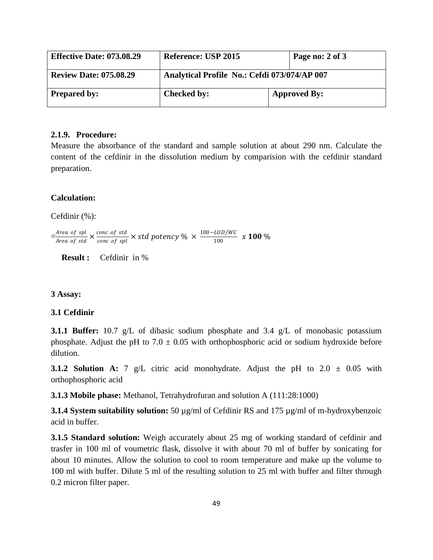| <b>Effective Date: 073.08.29</b> | <b>Reference: USP 2015</b>                   | Page no: 2 of 3     |
|----------------------------------|----------------------------------------------|---------------------|
| <b>Review Date: 075.08.29</b>    | Analytical Profile No.: Cefdi 073/074/AP 007 |                     |
| <b>Prepared by:</b>              | <b>Checked by:</b>                           | <b>Approved By:</b> |

#### **2.1.9. Procedure:**

Measure the absorbance of the standard and sample solution at about 290 nm. Calculate the content of the cefdinir in the dissolution medium by comparision with the cefdinir standard preparation.

### **Calculation:**

Cefdinir (%):

 $=\frac{Area\ of\ spl}{Area\ of\ std}\times \frac{conc.of\ std}{conc.of\ spl}\times std\ potency\ \% \times \frac{100-LOD/WC}{100}$  $\frac{100}{100}$  x 100 %

 **Result :** Cefdinir in %

#### **3 Assay:**

### **3.1 Cefdinir**

**3.1.1 Buffer:** 10.7 g/L of dibasic sodium phosphate and 3.4 g/L of monobasic potassium phosphate. Adjust the pH to  $7.0 \pm 0.05$  with orthophosphoric acid or sodium hydroxide before dilution.

**3.1.2 Solution A:** 7 g/L citric acid monohydrate. Adjust the pH to 2.0  $\pm$  0.05 with orthophosphoric acid

**3.1.3 Mobile phase:** Methanol, Tetrahydrofuran and solution A (111:28:1000)

**3.1.4 System suitability solution:** 50 µg/ml of Cefdinir RS and 175 µg/ml of m-hydroxybenzoic acid in buffer.

**3.1.5 Standard solution:** Weigh accurately about 25 mg of working standard of cefdinir and trasfer in 100 ml of voumetric flask, dissolve it with about 70 ml of buffer by sonicating for about 10 minutes. Allow the solution to cool to room temperature and make up the volume to 100 ml with buffer. Dilute 5 ml of the resulting solution to 25 ml with buffer and filter through 0.2 micron filter paper.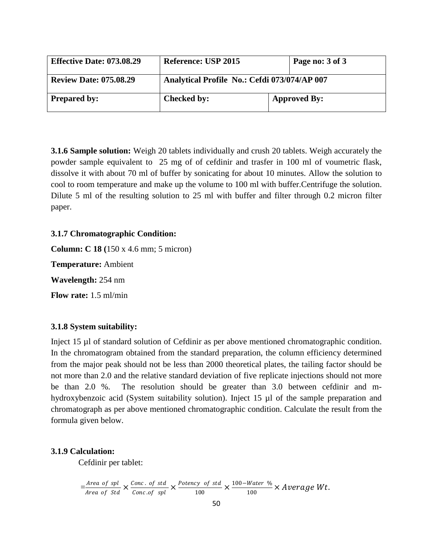| <b>Effective Date: 073.08.29</b> | <b>Reference: USP 2015</b>                   | Page no: 3 of 3     |
|----------------------------------|----------------------------------------------|---------------------|
| <b>Review Date: 075.08.29</b>    | Analytical Profile No.: Cefdi 073/074/AP 007 |                     |
| <b>Prepared by:</b>              | <b>Checked by:</b>                           | <b>Approved By:</b> |

**3.1.6 Sample solution:** Weigh 20 tablets individually and crush 20 tablets. Weigh accurately the powder sample equivalent to 25 mg of of cefdinir and trasfer in 100 ml of voumetric flask, dissolve it with about 70 ml of buffer by sonicating for about 10 minutes. Allow the solution to cool to room temperature and make up the volume to 100 ml with buffer.Centrifuge the solution. Dilute 5 ml of the resulting solution to 25 ml with buffer and filter through 0.2 micron filter paper.

### **3.1.7 Chromatographic Condition:**

**Column: C 18 (**150 x 4.6 mm; 5 micron) **Temperature:** Ambient **Wavelength:** 254 nm **Flow rate:** 1.5 ml/min

### **3.1.8 System suitability:**

Inject 15 µl of standard solution of Cefdinir as per above mentioned chromatographic condition. In the chromatogram obtained from the standard preparation, the column efficiency determined from the major peak should not be less than 2000 theoretical plates, the tailing factor should be not more than 2.0 and the relative standard deviation of five replicate injections should not more be than 2.0 %. The resolution should be greater than 3.0 between cefdinir and mhydroxybenzoic acid (System suitability solution). Inject 15  $\mu$ l of the sample preparation and chromatograph as per above mentioned chromatographic condition. Calculate the result from the formula given below.

### **3.1.9 Calculation:**

Cefdinir per tablet:

 $=\frac{Area\ of\ spl}{Area\ of\ Std} \times \frac{Conc.\ of\ std}{Conc.\ of\ spl} \times \frac{Potency\ of\ std}{100}$  $\frac{cy \text{ of std}}{100} \times \frac{100 - Water \%}{100}$  $\frac{1}{100}$  × Average Wt.